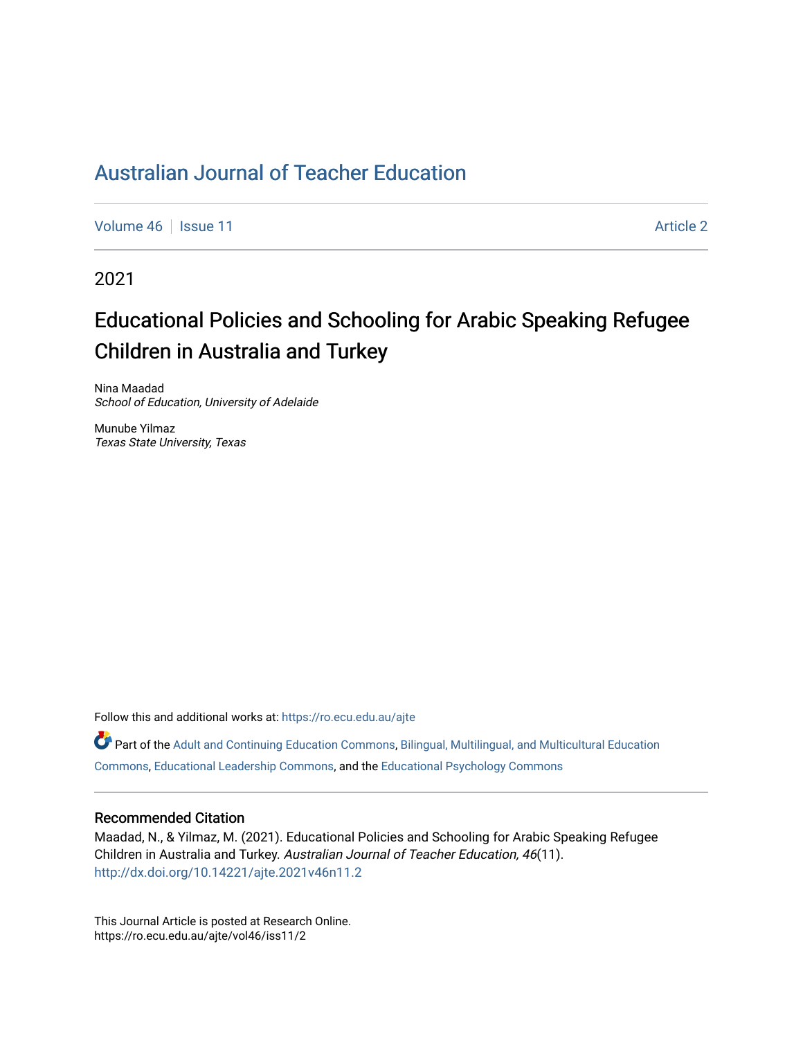[Volume 46](https://ro.ecu.edu.au/ajte/vol46) | [Issue 11](https://ro.ecu.edu.au/ajte/vol46/iss11) Article 2

2021

# Educational Policies and Schooling for Arabic Speaking Refugee Children in Australia and Turkey

Nina Maadad School of Education, University of Adelaide

Munube Yilmaz Texas State University, Texas

Follow this and additional works at: [https://ro.ecu.edu.au/ajte](https://ro.ecu.edu.au/ajte?utm_source=ro.ecu.edu.au%2Fajte%2Fvol46%2Fiss11%2F2&utm_medium=PDF&utm_campaign=PDFCoverPages) 

Part of the [Adult and Continuing Education Commons,](http://network.bepress.com/hgg/discipline/1375?utm_source=ro.ecu.edu.au%2Fajte%2Fvol46%2Fiss11%2F2&utm_medium=PDF&utm_campaign=PDFCoverPages) [Bilingual, Multilingual, and Multicultural Education](http://network.bepress.com/hgg/discipline/785?utm_source=ro.ecu.edu.au%2Fajte%2Fvol46%2Fiss11%2F2&utm_medium=PDF&utm_campaign=PDFCoverPages) [Commons,](http://network.bepress.com/hgg/discipline/785?utm_source=ro.ecu.edu.au%2Fajte%2Fvol46%2Fiss11%2F2&utm_medium=PDF&utm_campaign=PDFCoverPages) [Educational Leadership Commons,](http://network.bepress.com/hgg/discipline/1230?utm_source=ro.ecu.edu.au%2Fajte%2Fvol46%2Fiss11%2F2&utm_medium=PDF&utm_campaign=PDFCoverPages) and the [Educational Psychology Commons](http://network.bepress.com/hgg/discipline/798?utm_source=ro.ecu.edu.au%2Fajte%2Fvol46%2Fiss11%2F2&utm_medium=PDF&utm_campaign=PDFCoverPages) 

#### Recommended Citation

Maadad, N., & Yilmaz, M. (2021). Educational Policies and Schooling for Arabic Speaking Refugee Children in Australia and Turkey. Australian Journal of Teacher Education, 46(11). <http://dx.doi.org/10.14221/ajte.2021v46n11.2>

This Journal Article is posted at Research Online. https://ro.ecu.edu.au/ajte/vol46/iss11/2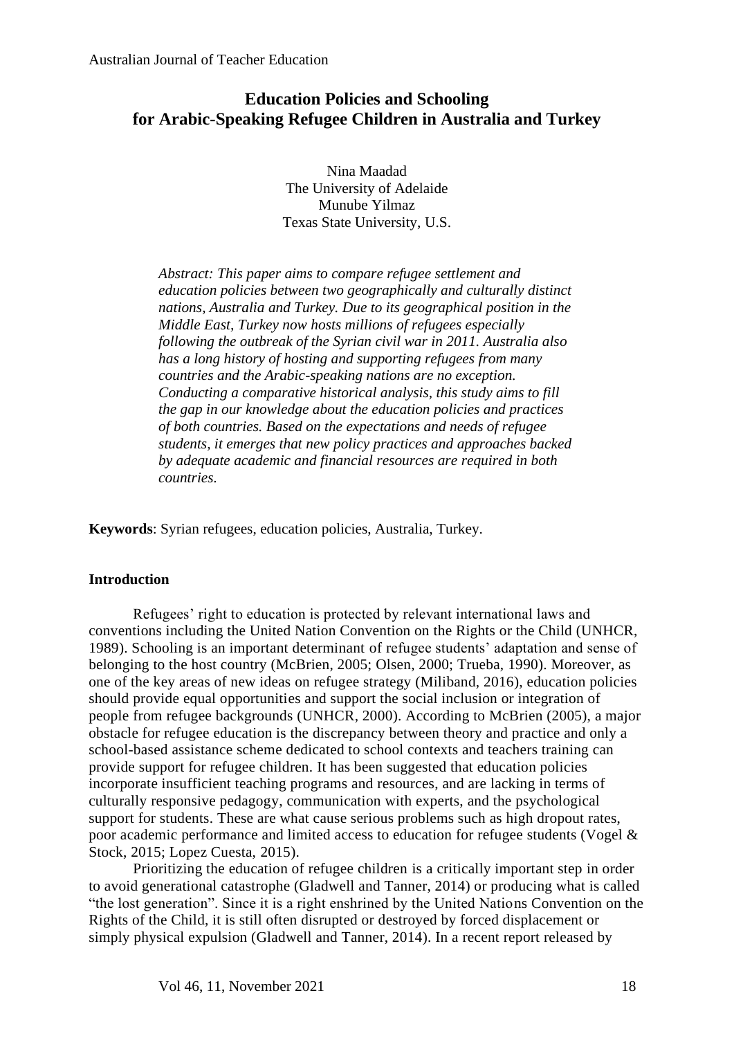### **Education Policies and Schooling for Arabic-Speaking Refugee Children in Australia and Turkey**

Nina Maadad The University of Adelaide Munube Yilmaz Texas State University, U.S.

*Abstract: This paper aims to compare refugee settlement and education policies between two geographically and culturally distinct nations, Australia and Turkey. Due to its geographical position in the Middle East, Turkey now hosts millions of refugees especially following the outbreak of the Syrian civil war in 2011. Australia also has a long history of hosting and supporting refugees from many countries and the Arabic-speaking nations are no exception. Conducting a comparative historical analysis, this study aims to fill the gap in our knowledge about the education policies and practices of both countries. Based on the expectations and needs of refugee students, it emerges that new policy practices and approaches backed by adequate academic and financial resources are required in both countries.* 

**Keywords**: Syrian refugees, education policies, Australia, Turkey.

#### **Introduction**

Refugees' right to education is protected by relevant international laws and conventions including the United Nation Convention on the Rights or the Child (UNHCR, 1989). Schooling is an important determinant of refugee students' adaptation and sense of belonging to the host country (McBrien, 2005; Olsen, 2000; Trueba, 1990). Moreover, as one of the key areas of new ideas on refugee strategy (Miliband, 2016), education policies should provide equal opportunities and support the social inclusion or integration of people from refugee backgrounds (UNHCR, 2000). According to McBrien (2005), a major obstacle for refugee education is the discrepancy between theory and practice and only a school-based assistance scheme dedicated to school contexts and teachers training can provide support for refugee children. It has been suggested that education policies incorporate insufficient teaching programs and resources, and are lacking in terms of culturally responsive pedagogy, communication with experts, and the psychological support for students. These are what cause serious problems such as high dropout rates, poor academic performance and limited access to education for refugee students (Vogel & Stock, 2015; Lopez Cuesta, 2015).

Prioritizing the education of refugee children is a critically important step in order to avoid generational catastrophe (Gladwell and Tanner, 2014) or producing what is called "the lost generation". Since it is a right enshrined by the United Nations Convention on the Rights of the Child, it is still often disrupted or destroyed by forced displacement or simply physical expulsion (Gladwell and Tanner, 2014). In a recent report released by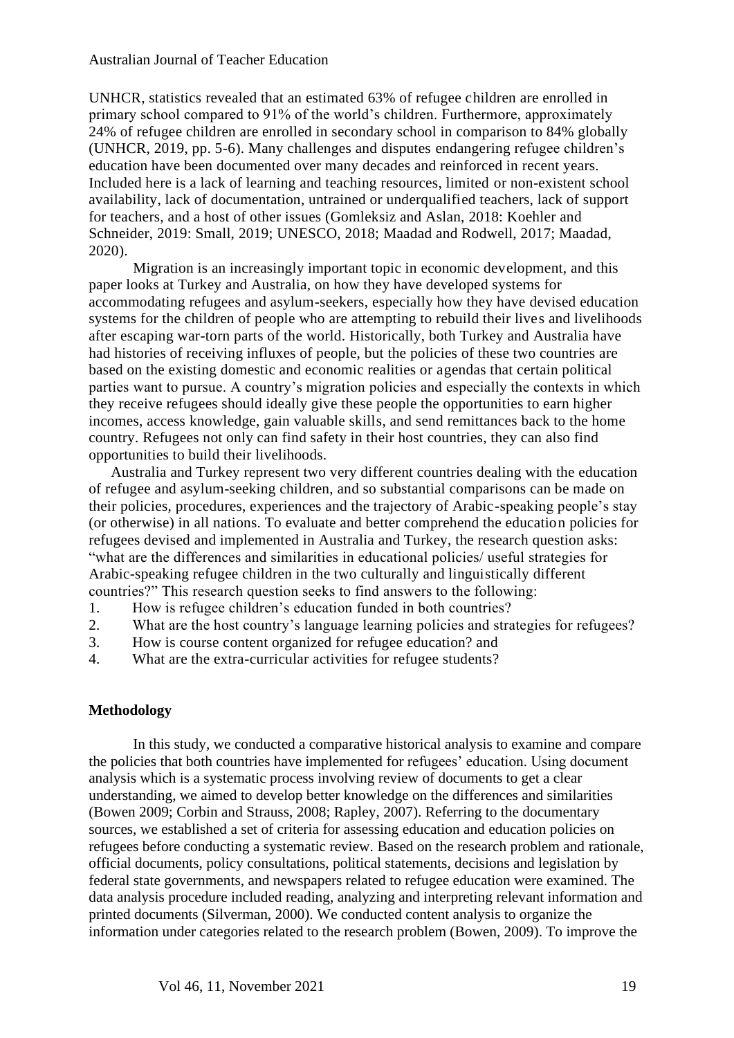UNHCR, statistics revealed that an estimated 63% of refugee children are enrolled in primary school compared to 91% of the world's children. Furthermore, approximately 24% of refugee children are enrolled in secondary school in comparison to 84% globally (UNHCR, 2019, pp. 5-6). Many challenges and disputes endangering refugee children's education have been documented over many decades and reinforced in recent years. Included here is a lack of learning and teaching resources, limited or non-existent school availability, lack of documentation, untrained or underqualified teachers, lack of support for teachers, and a host of other issues (Gomleksiz and Aslan, 2018: Koehler and Schneider, 2019: Small, 2019; UNESCO, 2018; Maadad and Rodwell, 2017; Maadad, 2020).

Migration is an increasingly important topic in economic development, and this paper looks at Turkey and Australia, on how they have developed systems for accommodating refugees and asylum-seekers, especially how they have devised education systems for the children of people who are attempting to rebuild their lives and livelihoods after escaping war-torn parts of the world. Historically, both Turkey and Australia have had histories of receiving influxes of people, but the policies of these two countries are based on the existing domestic and economic realities or agendas that certain political parties want to pursue. A country's migration policies and especially the contexts in which they receive refugees should ideally give these people the opportunities to earn higher incomes, access knowledge, gain valuable skills, and send remittances back to the home country. Refugees not only can find safety in their host countries, they can also find opportunities to build their livelihoods.

Australia and Turkey represent two very different countries dealing with the education of refugee and asylum-seeking children, and so substantial comparisons can be made on their policies, procedures, experiences and the trajectory of Arabic-speaking people's stay (or otherwise) in all nations. To evaluate and better comprehend the education policies for refugees devised and implemented in Australia and Turkey, the research question asks: "what are the differences and similarities in educational policies/ useful strategies for Arabic-speaking refugee children in the two culturally and linguistically different countries?" This research question seeks to find answers to the following:

- 1. How is refugee children's education funded in both countries?
- 2. What are the host country's language learning policies and strategies for refugees?
- 3. How is course content organized for refugee education? and
- 4. What are the extra-curricular activities for refugee students?

#### **Methodology**

In this study, we conducted a comparative historical analysis to examine and compare the policies that both countries have implemented for refugees' education. Using document analysis which is a systematic process involving review of documents to get a clear understanding, we aimed to develop better knowledge on the differences and similarities (Bowen 2009; Corbin and Strauss, 2008; Rapley, 2007). Referring to the documentary sources, we established a set of criteria for assessing education and education policies on refugees before conducting a systematic review. Based on the research problem and rationale, official documents, policy consultations, political statements, decisions and legislation by federal state governments, and newspapers related to refugee education were examined. The data analysis procedure included reading, analyzing and interpreting relevant information and printed documents (Silverman, 2000). We conducted content analysis to organize the information under categories related to the research problem (Bowen, 2009). To improve the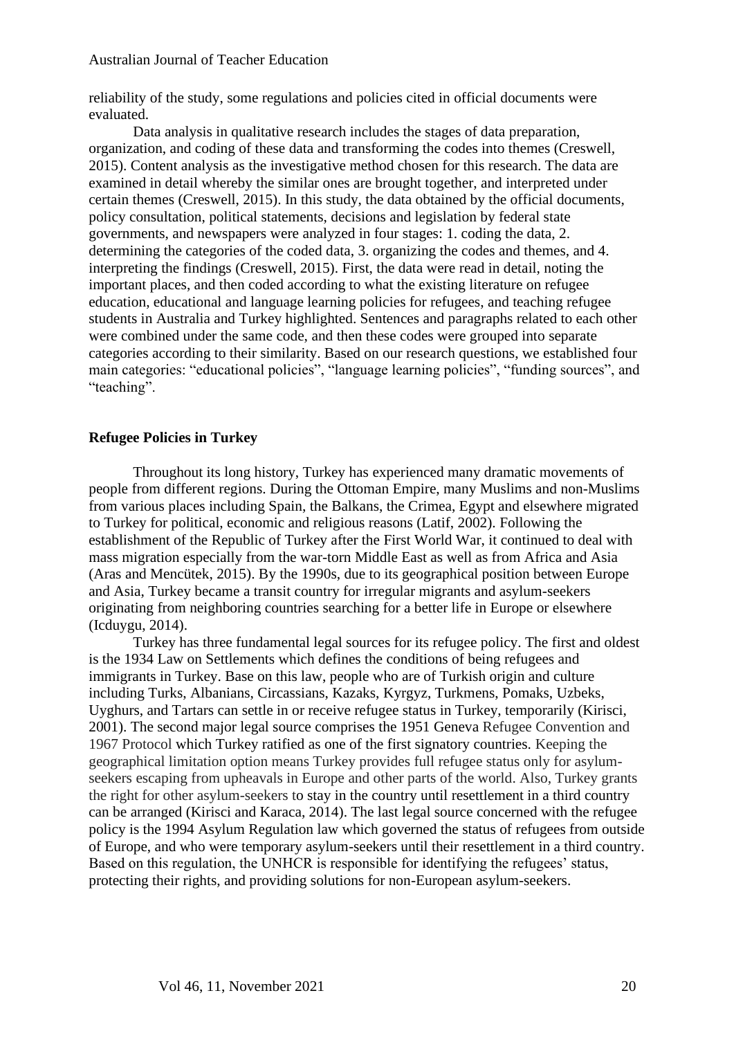reliability of the study, some regulations and policies cited in official documents were evaluated.

Data analysis in qualitative research includes the stages of data preparation, organization, and coding of these data and transforming the codes into themes (Creswell, 2015). Content analysis as the investigative method chosen for this research. The data are examined in detail whereby the similar ones are brought together, and interpreted under certain themes (Creswell, 2015). In this study, the data obtained by the official documents, policy consultation, political statements, decisions and legislation by federal state governments, and newspapers were analyzed in four stages: 1. coding the data, 2. determining the categories of the coded data, 3. organizing the codes and themes, and 4. interpreting the findings (Creswell, 2015). First, the data were read in detail, noting the important places, and then coded according to what the existing literature on refugee education, educational and language learning policies for refugees, and teaching refugee students in Australia and Turkey highlighted. Sentences and paragraphs related to each other were combined under the same code, and then these codes were grouped into separate categories according to their similarity. Based on our research questions, we established four main categories: "educational policies", "language learning policies", "funding sources", and "teaching".

#### **Refugee Policies in Turkey**

Throughout its long history, Turkey has experienced many dramatic movements of people from different regions. During the Ottoman Empire, many Muslims and non-Muslims from various places including Spain, the Balkans, the Crimea, Egypt and elsewhere migrated to Turkey for political, economic and religious reasons (Latif, 2002). Following the establishment of the Republic of Turkey after the First World War, it continued to deal with mass migration especially from the war-torn Middle East as well as from Africa and Asia (Aras and Mencütek, 2015). By the 1990s, due to its geographical position between Europe and Asia, Turkey became a transit country for irregular migrants and asylum-seekers originating from neighboring countries searching for a better life in Europe or elsewhere (Icduygu, 2014).

Turkey has three fundamental legal sources for its refugee policy. The first and oldest is the 1934 Law on Settlements which defines the conditions of being refugees and immigrants in Turkey. Base on this law, people who are of Turkish origin and culture including Turks, Albanians, Circassians, Kazaks, Kyrgyz, Turkmens, Pomaks, Uzbeks, Uyghurs, and Tartars can settle in or receive refugee status in Turkey, temporarily (Kirisci, 2001). The second major legal source comprises the 1951 Geneva Refugee Convention and 1967 Protocol which Turkey ratified as one of the first signatory countries. Keeping the geographical limitation option means Turkey provides full refugee status only for asylumseekers escaping from upheavals in Europe and other parts of the world. Also, Turkey grants the right for other asylum-seekers to stay in the country until resettlement in a third country can be arranged (Kirisci and Karaca, 2014). The last legal source concerned with the refugee policy is the 1994 Asylum Regulation law which governed the status of refugees from outside of Europe, and who were temporary asylum-seekers until their resettlement in a third country. Based on this regulation, the UNHCR is responsible for identifying the refugees' status, protecting their rights, and providing solutions for non-European asylum-seekers.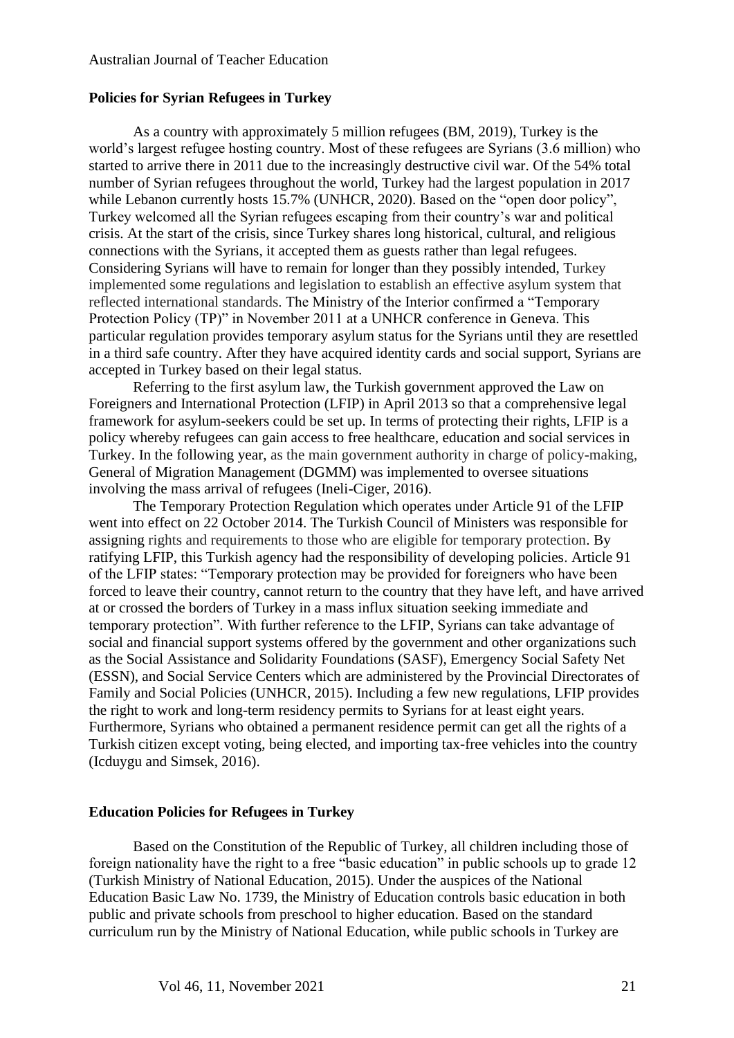#### **Policies for Syrian Refugees in Turkey**

As a country with approximately 5 million refugees (BM, 2019), Turkey is the world's largest refugee hosting country. Most of these refugees are Syrians (3.6 million) who started to arrive there in 2011 due to the increasingly destructive civil war. Of the 54% total number of Syrian refugees throughout the world, Turkey had the largest population in 2017 while Lebanon currently hosts 15.7% (UNHCR, 2020). Based on the "open door policy", Turkey welcomed all the Syrian refugees escaping from their country's war and political crisis. At the start of the crisis, since Turkey shares long historical, cultural, and religious connections with the Syrians, it accepted them as guests rather than legal refugees. Considering Syrians will have to remain for longer than they possibly intended, Turkey implemented some regulations and legislation to establish an effective asylum system that reflected international standards. The Ministry of the Interior confirmed a "Temporary Protection Policy (TP)" in November 2011 at a UNHCR conference in Geneva. This particular regulation provides temporary asylum status for the Syrians until they are resettled in a third safe country. After they have acquired identity cards and social support, Syrians are accepted in Turkey based on their legal status.

Referring to the first asylum law, the Turkish government approved the Law on Foreigners and International Protection (LFIP) in April 2013 so that a comprehensive legal framework for asylum-seekers could be set up. In terms of protecting their rights, LFIP is a policy whereby refugees can gain access to free healthcare, education and social services in Turkey. In the following year, as the main government authority in charge of policy-making, General of Migration Management (DGMM) was implemented to oversee situations involving the mass arrival of refugees (Ineli-Ciger, 2016).

The Temporary Protection Regulation which operates under Article 91 of the LFIP went into effect on 22 October 2014. The Turkish Council of Ministers was responsible for assigning rights and requirements to those who are eligible for temporary protection. By ratifying LFIP, this Turkish agency had the responsibility of developing policies. Article 91 of the LFIP states: "Temporary protection may be provided for foreigners who have been forced to leave their country, cannot return to the country that they have left, and have arrived at or crossed the borders of Turkey in a mass influx situation seeking immediate and temporary protection". With further reference to the LFIP, Syrians can take advantage of social and financial support systems offered by the government and other organizations such as the Social Assistance and Solidarity Foundations (SASF), Emergency Social Safety Net (ESSN), and Social Service Centers which are administered by the Provincial Directorates of Family and Social Policies (UNHCR, 2015). Including a few new regulations, LFIP provides the right to work and long-term residency permits to Syrians for at least eight years. Furthermore, Syrians who obtained a permanent residence permit can get all the rights of a Turkish citizen except voting, being elected, and importing tax-free vehicles into the country (Icduygu and Simsek, 2016).

#### **Education Policies for Refugees in Turkey**

Based on the Constitution of the Republic of Turkey, all children including those of foreign nationality have the right to a free "basic education" in public schools up to grade 12 (Turkish Ministry of National Education, 2015). Under the auspices of the National Education Basic Law No. 1739, the Ministry of Education controls basic education in both public and private schools from preschool to higher education. Based on the standard curriculum run by the Ministry of National Education, while public schools in Turkey are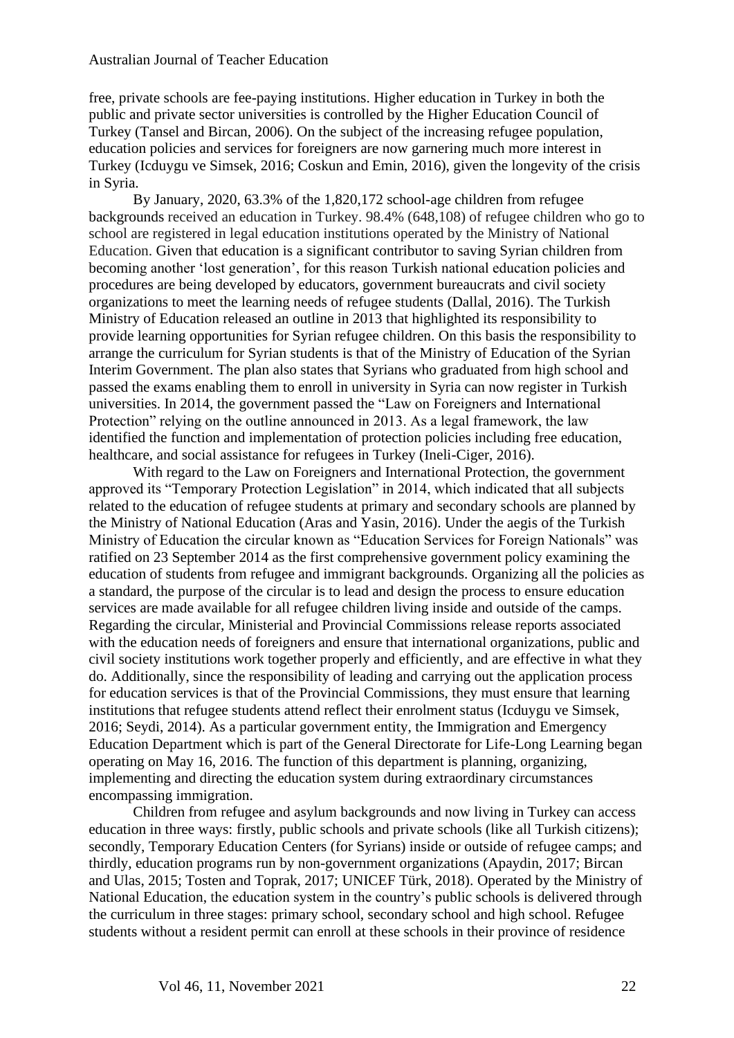free, private schools are fee-paying institutions. Higher education in Turkey in both the public and private sector universities is controlled by the Higher Education Council of Turkey (Tansel and Bircan, 2006). On the subject of the increasing refugee population, education policies and services for foreigners are now garnering much more interest in Turkey (Icduygu ve Simsek, 2016; Coskun and Emin, 2016), given the longevity of the crisis in Syria.

By January, 2020, 63.3% of the 1,820,172 school-age children from refugee backgrounds received an education in Turkey. 98.4% (648,108) of refugee children who go to school are registered in legal education institutions operated by the Ministry of National Education. Given that education is a significant contributor to saving Syrian children from becoming another 'lost generation', for this reason Turkish national education policies and procedures are being developed by educators, government bureaucrats and civil society organizations to meet the learning needs of refugee students (Dallal, 2016). The Turkish Ministry of Education released an outline in 2013 that highlighted its responsibility to provide learning opportunities for Syrian refugee children. On this basis the responsibility to arrange the curriculum for Syrian students is that of the Ministry of Education of the Syrian Interim Government. The plan also states that Syrians who graduated from high school and passed the exams enabling them to enroll in university in Syria can now register in Turkish universities. In 2014, the government passed the "Law on Foreigners and International Protection" relying on the outline announced in 2013. As a legal framework, the law identified the function and implementation of protection policies including free education, healthcare, and social assistance for refugees in Turkey (Ineli-Ciger, 2016).

With regard to the Law on Foreigners and International Protection, the government approved its "Temporary Protection Legislation" in 2014, which indicated that all subjects related to the education of refugee students at primary and secondary schools are planned by the Ministry of National Education (Aras and Yasin, 2016). Under the aegis of the Turkish Ministry of Education the circular known as "Education Services for Foreign Nationals" was ratified on 23 September 2014 as the first comprehensive government policy examining the education of students from refugee and immigrant backgrounds. Organizing all the policies as a standard, the purpose of the circular is to lead and design the process to ensure education services are made available for all refugee children living inside and outside of the camps. Regarding the circular, Ministerial and Provincial Commissions release reports associated with the education needs of foreigners and ensure that international organizations, public and civil society institutions work together properly and efficiently, and are effective in what they do. Additionally, since the responsibility of leading and carrying out the application process for education services is that of the Provincial Commissions, they must ensure that learning institutions that refugee students attend reflect their enrolment status (Icduygu ve Simsek, 2016; Seydi, 2014). As a particular government entity, the Immigration and Emergency Education Department which is part of the General Directorate for Life-Long Learning began operating on May 16, 2016. The function of this department is planning, organizing, implementing and directing the education system during extraordinary circumstances encompassing immigration.

Children from refugee and asylum backgrounds and now living in Turkey can access education in three ways: firstly, public schools and private schools (like all Turkish citizens); secondly, Temporary Education Centers (for Syrians) inside or outside of refugee camps; and thirdly, education programs run by non-government organizations (Apaydin, 2017; Bircan and Ulas, 2015; Tosten and Toprak, 2017; UNICEF Türk, 2018). Operated by the Ministry of National Education, the education system in the country's public schools is delivered through the curriculum in three stages: primary school, secondary school and high school. Refugee students without a resident permit can enroll at these schools in their province of residence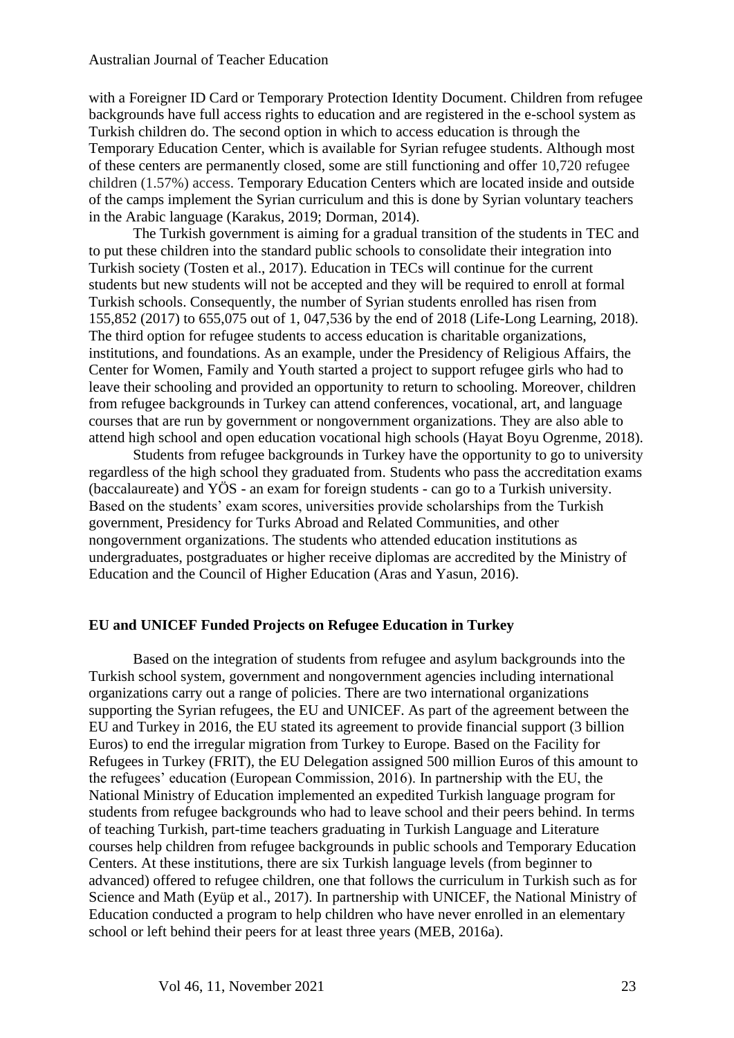with a Foreigner ID Card or Temporary Protection Identity Document. Children from refugee backgrounds have full access rights to education and are registered in the e-school system as Turkish children do. The second option in which to access education is through the Temporary Education Center, which is available for Syrian refugee students. Although most of these centers are permanently closed, some are still functioning and offer 10,720 refugee children (1.57%) access. Temporary Education Centers which are located inside and outside of the camps implement the Syrian curriculum and this is done by Syrian voluntary teachers in the Arabic language (Karakus, 2019; Dorman, 2014).

The Turkish government is aiming for a gradual transition of the students in TEC and to put these children into the standard public schools to consolidate their integration into Turkish society (Tosten et al., 2017). Education in TECs will continue for the current students but new students will not be accepted and they will be required to enroll at formal Turkish schools. Consequently, the number of Syrian students enrolled has risen from 155,852 (2017) to 655,075 out of 1, 047,536 by the end of 2018 (Life-Long Learning, 2018). The third option for refugee students to access education is charitable organizations, institutions, and foundations. As an example, under the Presidency of Religious Affairs, the Center for Women, Family and Youth started a project to support refugee girls who had to leave their schooling and provided an opportunity to return to schooling. Moreover, children from refugee backgrounds in Turkey can attend conferences, vocational, art, and language courses that are run by government or nongovernment organizations. They are also able to attend high school and open education vocational high schools (Hayat Boyu Ogrenme, 2018).

Students from refugee backgrounds in Turkey have the opportunity to go to university regardless of the high school they graduated from. Students who pass the accreditation exams (baccalaureate) and YÖS - an exam for foreign students - can go to a Turkish university. Based on the students' exam scores, universities provide scholarships from the Turkish government, Presidency for Turks Abroad and Related Communities, and other nongovernment organizations. The students who attended education institutions as undergraduates, postgraduates or higher receive diplomas are accredited by the Ministry of Education and the Council of Higher Education (Aras and Yasun, 2016).

#### **EU and UNICEF Funded Projects on Refugee Education in Turkey**

Based on the integration of students from refugee and asylum backgrounds into the Turkish school system, government and nongovernment agencies including international organizations carry out a range of policies. There are two international organizations supporting the Syrian refugees, the EU and UNICEF. As part of the agreement between the EU and Turkey in 2016, the EU stated its agreement to provide financial support (3 billion Euros) to end the irregular migration from Turkey to Europe. Based on the Facility for Refugees in Turkey (FRIT), the EU Delegation assigned 500 million Euros of this amount to the refugees' education (European Commission, 2016). In partnership with the EU, the National Ministry of Education implemented an expedited Turkish language program for students from refugee backgrounds who had to leave school and their peers behind. In terms of teaching Turkish, part-time teachers graduating in Turkish Language and Literature courses help children from refugee backgrounds in public schools and Temporary Education Centers. At these institutions, there are six Turkish language levels (from beginner to advanced) offered to refugee children, one that follows the curriculum in Turkish such as for Science and Math (Eyüp et al., 2017). In partnership with UNICEF, the National Ministry of Education conducted a program to help children who have never enrolled in an elementary school or left behind their peers for at least three years (MEB, 2016a).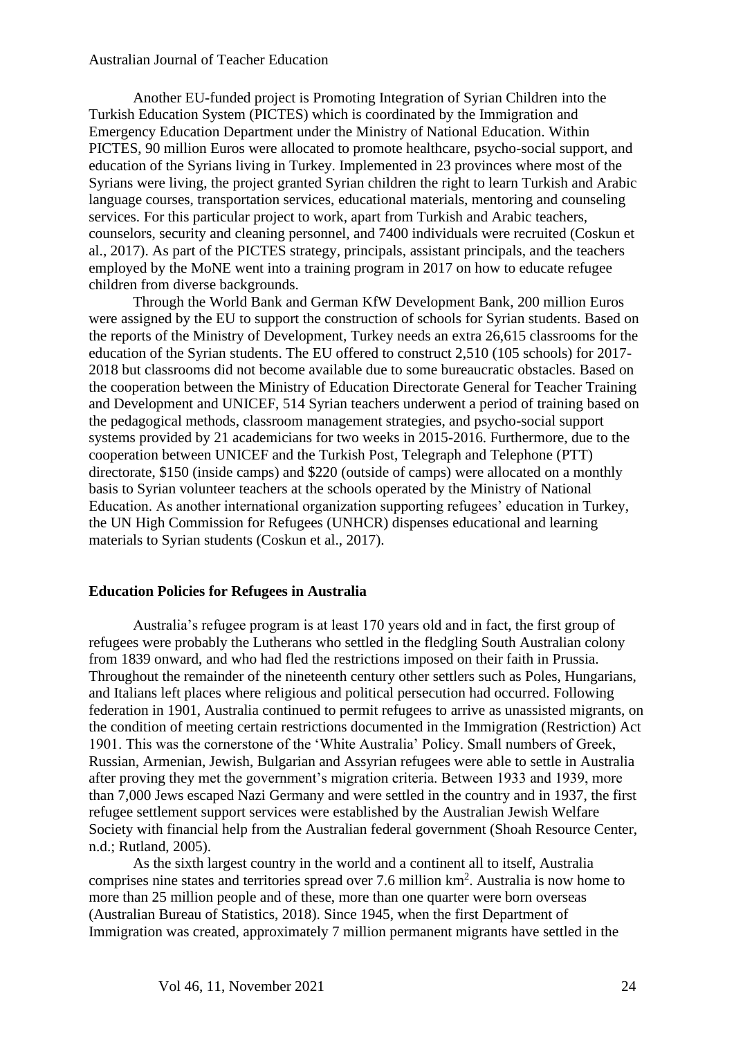Another EU-funded project is Promoting Integration of Syrian Children into the Turkish Education System (PICTES) which is coordinated by the Immigration and Emergency Education Department under the Ministry of National Education. Within PICTES, 90 million Euros were allocated to promote healthcare, psycho-social support, and education of the Syrians living in Turkey. Implemented in 23 provinces where most of the Syrians were living, the project granted Syrian children the right to learn Turkish and Arabic language courses, transportation services, educational materials, mentoring and counseling services. For this particular project to work, apart from Turkish and Arabic teachers, counselors, security and cleaning personnel, and 7400 individuals were recruited (Coskun et al., 2017). As part of the PICTES strategy, principals, assistant principals, and the teachers employed by the MoNE went into a training program in 2017 on how to educate refugee children from diverse backgrounds.

Through the World Bank and German KfW Development Bank, 200 million Euros were assigned by the EU to support the construction of schools for Syrian students. Based on the reports of the Ministry of Development, Turkey needs an extra 26,615 classrooms for the education of the Syrian students. The EU offered to construct 2,510 (105 schools) for 2017- 2018 but classrooms did not become available due to some bureaucratic obstacles. Based on the cooperation between the Ministry of Education Directorate General for Teacher Training and Development and UNICEF, 514 Syrian teachers underwent a period of training based on the pedagogical methods, classroom management strategies, and psycho-social support systems provided by 21 academicians for two weeks in 2015-2016. Furthermore, due to the cooperation between UNICEF and the Turkish Post, Telegraph and Telephone (PTT) directorate, \$150 (inside camps) and \$220 (outside of camps) were allocated on a monthly basis to Syrian volunteer teachers at the schools operated by the Ministry of National Education. As another international organization supporting refugees' education in Turkey, the UN High Commission for Refugees (UNHCR) dispenses educational and learning materials to Syrian students (Coskun et al., 2017).

#### **Education Policies for Refugees in Australia**

Australia's refugee program is at least 170 years old and in fact, the first group of refugees were probably the Lutherans who settled in the fledgling South Australian colony from 1839 onward, and who had fled the restrictions imposed on their faith in Prussia. Throughout the remainder of the nineteenth century other settlers such as Poles, Hungarians, and Italians left places where religious and political persecution had occurred. Following federation in 1901, Australia continued to permit refugees to arrive as unassisted migrants, on the condition of meeting certain restrictions documented in the Immigration (Restriction) Act 1901. This was the cornerstone of the 'White Australia' Policy. Small numbers of Greek, Russian, Armenian, Jewish, Bulgarian and Assyrian refugees were able to settle in Australia after proving they met the government's migration criteria. Between 1933 and 1939, more than 7,000 Jews escaped Nazi Germany and were settled in the country and in 1937, the first refugee settlement support services were established by the Australian Jewish Welfare Society with financial help from the Australian federal government (Shoah Resource Center, n.d.; Rutland, 2005).

As the sixth largest country in the world and a continent all to itself, Australia comprises nine states and territories spread over 7.6 million  $km<sup>2</sup>$ . Australia is now home to more than 25 million people and of these, more than one quarter were born overseas (Australian Bureau of Statistics, 2018). Since 1945, when the first Department of Immigration was created, approximately 7 million permanent migrants have settled in the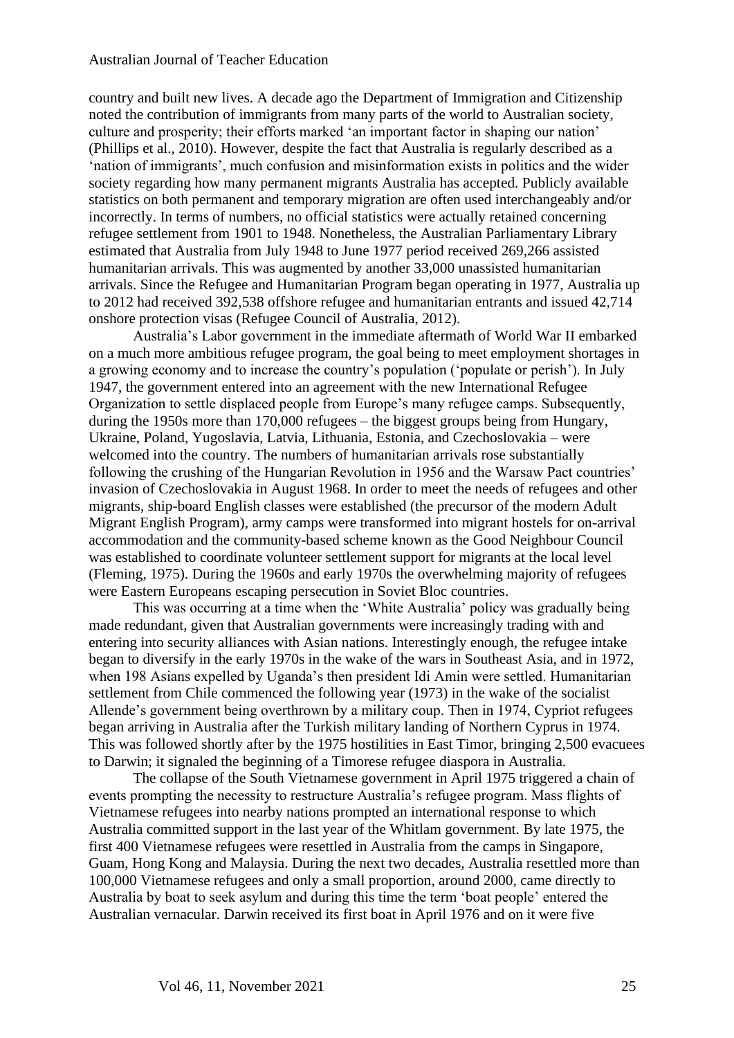country and built new lives. A decade ago the Department of Immigration and Citizenship noted the contribution of immigrants from many parts of the world to Australian society, culture and prosperity; their efforts marked 'an important factor in shaping our nation' (Phillips et al., 2010). However, despite the fact that Australia is regularly described as a 'nation of immigrants', much confusion and misinformation exists in politics and the wider society regarding how many permanent migrants Australia has accepted. Publicly available statistics on both permanent and temporary migration are often used interchangeably and/or incorrectly. In terms of numbers, no official statistics were actually retained concerning refugee settlement from 1901 to 1948. Nonetheless, the Australian Parliamentary Library estimated that Australia from July 1948 to June 1977 period received 269,266 assisted humanitarian arrivals. This was augmented by another 33,000 unassisted humanitarian arrivals. Since the Refugee and Humanitarian Program began operating in 1977, Australia up to 2012 had received 392,538 offshore refugee and humanitarian entrants and issued 42,714 onshore protection visas (Refugee Council of Australia, 2012).

Australia's Labor government in the immediate aftermath of World War II embarked on a much more ambitious refugee program, the goal being to meet employment shortages in a growing economy and to increase the country's population ('populate or perish'). In July 1947, the government entered into an agreement with the new International Refugee Organization to settle displaced people from Europe's many refugee camps. Subsequently, during the 1950s more than 170,000 refugees – the biggest groups being from Hungary, Ukraine, Poland, Yugoslavia, Latvia, Lithuania, Estonia, and Czechoslovakia – were welcomed into the country. The numbers of humanitarian arrivals rose substantially following the crushing of the Hungarian Revolution in 1956 and the Warsaw Pact countries' invasion of Czechoslovakia in August 1968. In order to meet the needs of refugees and other migrants, ship-board English classes were established (the precursor of the modern Adult Migrant English Program), army camps were transformed into migrant hostels for on-arrival accommodation and the community-based scheme known as the Good Neighbour Council was established to coordinate volunteer settlement support for migrants at the local level (Fleming, 1975). During the 1960s and early 1970s the overwhelming majority of refugees were Eastern Europeans escaping persecution in Soviet Bloc countries.

This was occurring at a time when the 'White Australia' policy was gradually being made redundant, given that Australian governments were increasingly trading with and entering into security alliances with Asian nations. Interestingly enough, the refugee intake began to diversify in the early 1970s in the wake of the wars in Southeast Asia, and in 1972, when 198 Asians expelled by Uganda's then president Idi Amin were settled. Humanitarian settlement from Chile commenced the following year (1973) in the wake of the socialist Allende's government being overthrown by a military coup. Then in 1974, Cypriot refugees began arriving in Australia after the Turkish military landing of Northern Cyprus in 1974. This was followed shortly after by the 1975 hostilities in East Timor, bringing 2,500 evacuees to Darwin; it signaled the beginning of a Timorese refugee diaspora in Australia.

The collapse of the South Vietnamese government in April 1975 triggered a chain of events prompting the necessity to restructure Australia's refugee program. Mass flights of Vietnamese refugees into nearby nations prompted an international response to which Australia committed support in the last year of the Whitlam government. By late 1975, the first 400 Vietnamese refugees were resettled in Australia from the camps in Singapore, Guam, Hong Kong and Malaysia. During the next two decades, Australia resettled more than 100,000 Vietnamese refugees and only a small proportion, around 2000, came directly to Australia by boat to seek asylum and during this time the term 'boat people' entered the Australian vernacular. Darwin received its first boat in April 1976 and on it were five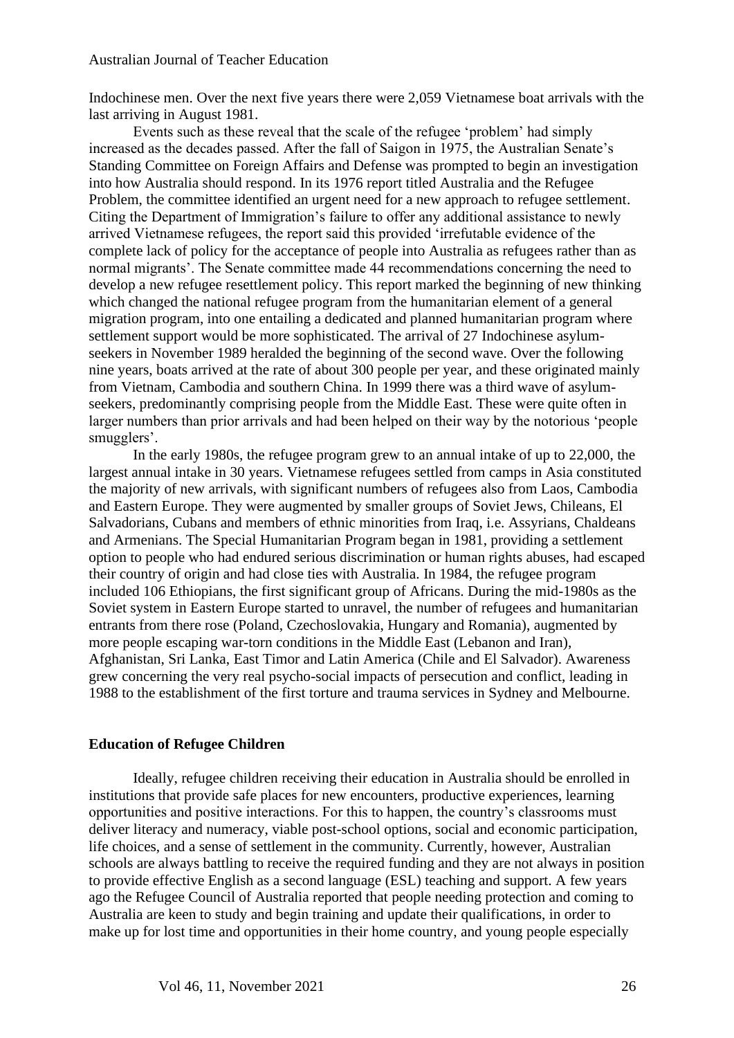Indochinese men. Over the next five years there were 2,059 Vietnamese boat arrivals with the last arriving in August 1981.

Events such as these reveal that the scale of the refugee 'problem' had simply increased as the decades passed. After the fall of Saigon in 1975, the Australian Senate's Standing Committee on Foreign Affairs and Defense was prompted to begin an investigation into how Australia should respond. In its 1976 report titled Australia and the Refugee Problem, the committee identified an urgent need for a new approach to refugee settlement. Citing the Department of Immigration's failure to offer any additional assistance to newly arrived Vietnamese refugees, the report said this provided 'irrefutable evidence of the complete lack of policy for the acceptance of people into Australia as refugees rather than as normal migrants'. The Senate committee made 44 recommendations concerning the need to develop a new refugee resettlement policy. This report marked the beginning of new thinking which changed the national refugee program from the humanitarian element of a general migration program, into one entailing a dedicated and planned humanitarian program where settlement support would be more sophisticated. The arrival of 27 Indochinese asylumseekers in November 1989 heralded the beginning of the second wave. Over the following nine years, boats arrived at the rate of about 300 people per year, and these originated mainly from Vietnam, Cambodia and southern China. In 1999 there was a third wave of asylumseekers, predominantly comprising people from the Middle East. These were quite often in larger numbers than prior arrivals and had been helped on their way by the notorious 'people smugglers'.

In the early 1980s, the refugee program grew to an annual intake of up to 22,000, the largest annual intake in 30 years. Vietnamese refugees settled from camps in Asia constituted the majority of new arrivals, with significant numbers of refugees also from Laos, Cambodia and Eastern Europe. They were augmented by smaller groups of Soviet Jews, Chileans, El Salvadorians, Cubans and members of ethnic minorities from Iraq, i.e. Assyrians, Chaldeans and Armenians. The Special Humanitarian Program began in 1981, providing a settlement option to people who had endured serious discrimination or human rights abuses, had escaped their country of origin and had close ties with Australia. In 1984, the refugee program included 106 Ethiopians, the first significant group of Africans. During the mid-1980s as the Soviet system in Eastern Europe started to unravel, the number of refugees and humanitarian entrants from there rose (Poland, Czechoslovakia, Hungary and Romania), augmented by more people escaping war-torn conditions in the Middle East (Lebanon and Iran), Afghanistan, Sri Lanka, East Timor and Latin America (Chile and El Salvador). Awareness grew concerning the very real psycho-social impacts of persecution and conflict, leading in 1988 to the establishment of the first torture and trauma services in Sydney and Melbourne.

#### **Education of Refugee Children**

Ideally, refugee children receiving their education in Australia should be enrolled in institutions that provide safe places for new encounters, productive experiences, learning opportunities and positive interactions. For this to happen, the country's classrooms must deliver literacy and numeracy, viable post-school options, social and economic participation, life choices, and a sense of settlement in the community. Currently, however, Australian schools are always battling to receive the required funding and they are not always in position to provide effective English as a second language (ESL) teaching and support. A few years ago the Refugee Council of Australia reported that people needing protection and coming to Australia are keen to study and begin training and update their qualifications, in order to make up for lost time and opportunities in their home country, and young people especially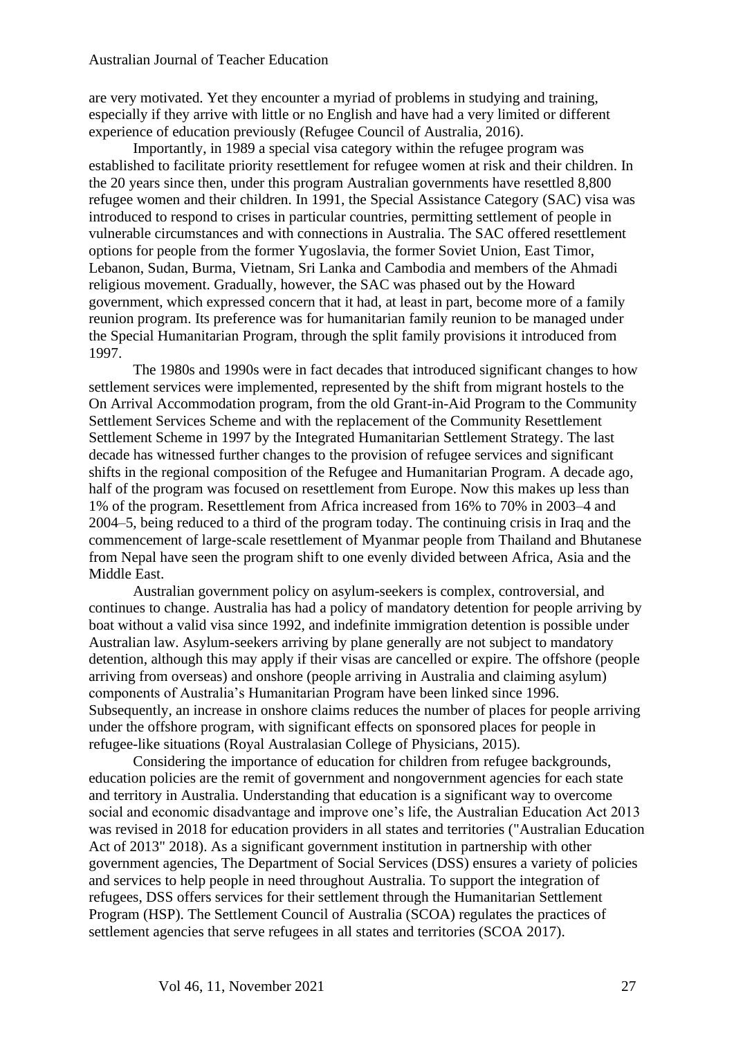are very motivated. Yet they encounter a myriad of problems in studying and training, especially if they arrive with little or no English and have had a very limited or different experience of education previously (Refugee Council of Australia, 2016).

Importantly, in 1989 a special visa category within the refugee program was established to facilitate priority resettlement for refugee women at risk and their children. In the 20 years since then, under this program Australian governments have resettled 8,800 refugee women and their children. In 1991, the Special Assistance Category (SAC) visa was introduced to respond to crises in particular countries, permitting settlement of people in vulnerable circumstances and with connections in Australia. The SAC offered resettlement options for people from the former Yugoslavia, the former Soviet Union, East Timor, Lebanon, Sudan, Burma, Vietnam, Sri Lanka and Cambodia and members of the Ahmadi religious movement. Gradually, however, the SAC was phased out by the Howard government, which expressed concern that it had, at least in part, become more of a family reunion program. Its preference was for humanitarian family reunion to be managed under the Special Humanitarian Program, through the split family provisions it introduced from 1997.

The 1980s and 1990s were in fact decades that introduced significant changes to how settlement services were implemented, represented by the shift from migrant hostels to the On Arrival Accommodation program, from the old Grant-in-Aid Program to the Community Settlement Services Scheme and with the replacement of the Community Resettlement Settlement Scheme in 1997 by the Integrated Humanitarian Settlement Strategy. The last decade has witnessed further changes to the provision of refugee services and significant shifts in the regional composition of the Refugee and Humanitarian Program. A decade ago, half of the program was focused on resettlement from Europe. Now this makes up less than 1% of the program. Resettlement from Africa increased from 16% to 70% in 2003–4 and 2004–5, being reduced to a third of the program today. The continuing crisis in Iraq and the commencement of large-scale resettlement of Myanmar people from Thailand and Bhutanese from Nepal have seen the program shift to one evenly divided between Africa, Asia and the Middle East.

Australian government policy on asylum-seekers is complex, controversial, and continues to change. Australia has had a policy of mandatory detention for people arriving by boat without a valid visa since 1992, and indefinite immigration detention is possible under Australian law. Asylum-seekers arriving by plane generally are not subject to mandatory detention, although this may apply if their visas are cancelled or expire. The offshore (people arriving from overseas) and onshore (people arriving in Australia and claiming asylum) components of Australia's Humanitarian Program have been linked since 1996. Subsequently, an increase in onshore claims reduces the number of places for people arriving under the offshore program, with significant effects on sponsored places for people in refugee-like situations (Royal Australasian College of Physicians, 2015).

Considering the importance of education for children from refugee backgrounds, education policies are the remit of government and nongovernment agencies for each state and territory in Australia. Understanding that education is a significant way to overcome social and economic disadvantage and improve one's life, the Australian Education Act 2013 was revised in 2018 for education providers in all states and territories ("Australian Education Act of 2013" 2018). As a significant government institution in partnership with other government agencies, The Department of Social Services (DSS) ensures a variety of policies and services to help people in need throughout Australia. To support the integration of refugees, DSS offers services for their settlement through the Humanitarian Settlement Program (HSP). The Settlement Council of Australia (SCOA) regulates the practices of settlement agencies that serve refugees in all states and territories (SCOA 2017).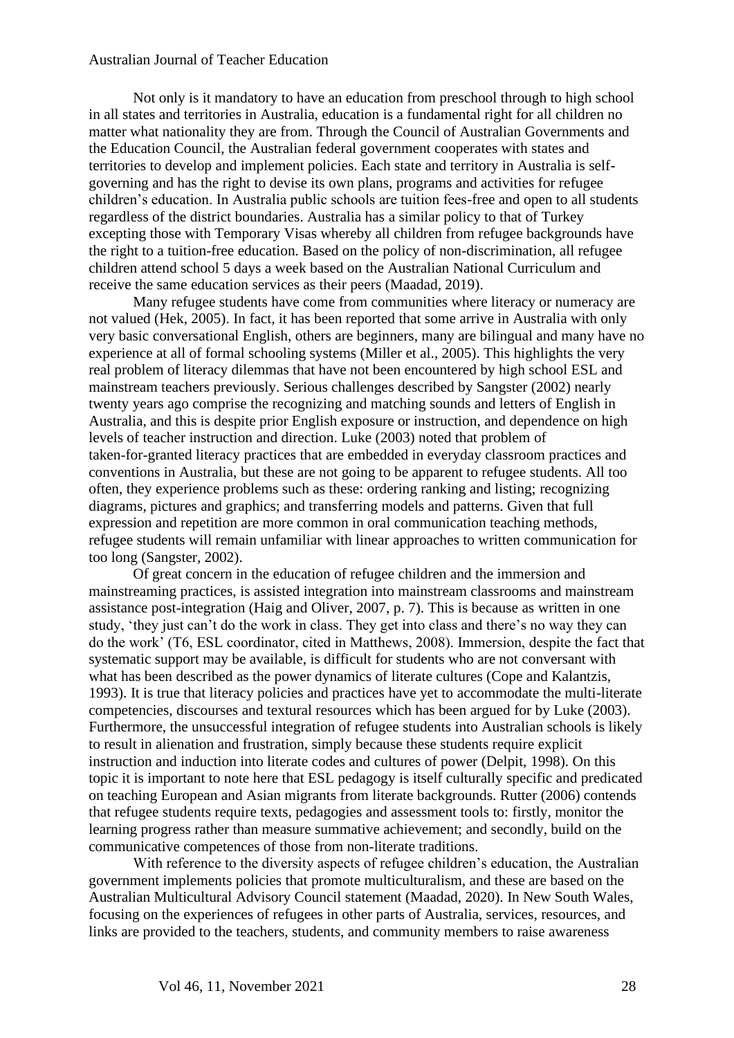Not only is it mandatory to have an education from preschool through to high school in all states and territories in Australia, education is a fundamental right for all children no matter what nationality they are from. Through the Council of Australian Governments and the Education Council, the Australian federal government cooperates with states and territories to develop and implement policies. Each state and territory in Australia is selfgoverning and has the right to devise its own plans, programs and activities for refugee children's education. In Australia public schools are tuition fees-free and open to all students regardless of the district boundaries. Australia has a similar policy to that of Turkey excepting those with Temporary Visas whereby all children from refugee backgrounds have the right to a tuition-free education. Based on the policy of non-discrimination, all refugee children attend school 5 days a week based on the Australian National Curriculum and receive the same education services as their peers (Maadad, 2019).

Many refugee students have come from communities where literacy or numeracy are not valued (Hek, 2005). In fact, it has been reported that some arrive in Australia with only very basic conversational English, others are beginners, many are bilingual and many have no experience at all of formal schooling systems (Miller et al., 2005). This highlights the very real problem of literacy dilemmas that have not been encountered by high school ESL and mainstream teachers previously. Serious challenges described by Sangster (2002) nearly twenty years ago comprise the recognizing and matching sounds and letters of English in Australia, and this is despite prior English exposure or instruction, and dependence on high levels of teacher instruction and direction. Luke (2003) noted that problem of taken‐for‐granted literacy practices that are embedded in everyday classroom practices and conventions in Australia, but these are not going to be apparent to refugee students. All too often, they experience problems such as these: ordering ranking and listing; recognizing diagrams, pictures and graphics; and transferring models and patterns. Given that full expression and repetition are more common in oral communication teaching methods, refugee students will remain unfamiliar with linear approaches to written communication for too long (Sangster, 2002).

Of great concern in the education of refugee children and the immersion and mainstreaming practices, is assisted integration into mainstream classrooms and mainstream assistance post‐integration (Haig and Oliver, 2007, p. 7). This is because as written in one study, 'they just can't do the work in class. They get into class and there's no way they can do the work' (T6, ESL coordinator, cited in Matthews, 2008). Immersion, despite the fact that systematic support may be available, is difficult for students who are not conversant with what has been described as the power dynamics of literate cultures (Cope and Kalantzis, 1993). It is true that literacy policies and practices have yet to accommodate the multi-literate competencies, discourses and textural resources which has been argued for by Luke (2003). Furthermore, the unsuccessful integration of refugee students into Australian schools is likely to result in alienation and frustration, simply because these students require explicit instruction and induction into literate codes and cultures of power (Delpit, 1998). On this topic it is important to note here that ESL pedagogy is itself culturally specific and predicated on teaching European and Asian migrants from literate backgrounds. Rutter (2006) contends that refugee students require texts, pedagogies and assessment tools to: firstly, monitor the learning progress rather than measure summative achievement; and secondly, build on the communicative competences of those from non‐literate traditions.

With reference to the diversity aspects of refugee children's education, the Australian government implements policies that promote multiculturalism, and these are based on the Australian Multicultural Advisory Council statement (Maadad, 2020). In New South Wales, focusing on the experiences of refugees in other parts of Australia, services, resources, and links are provided to the teachers, students, and community members to raise awareness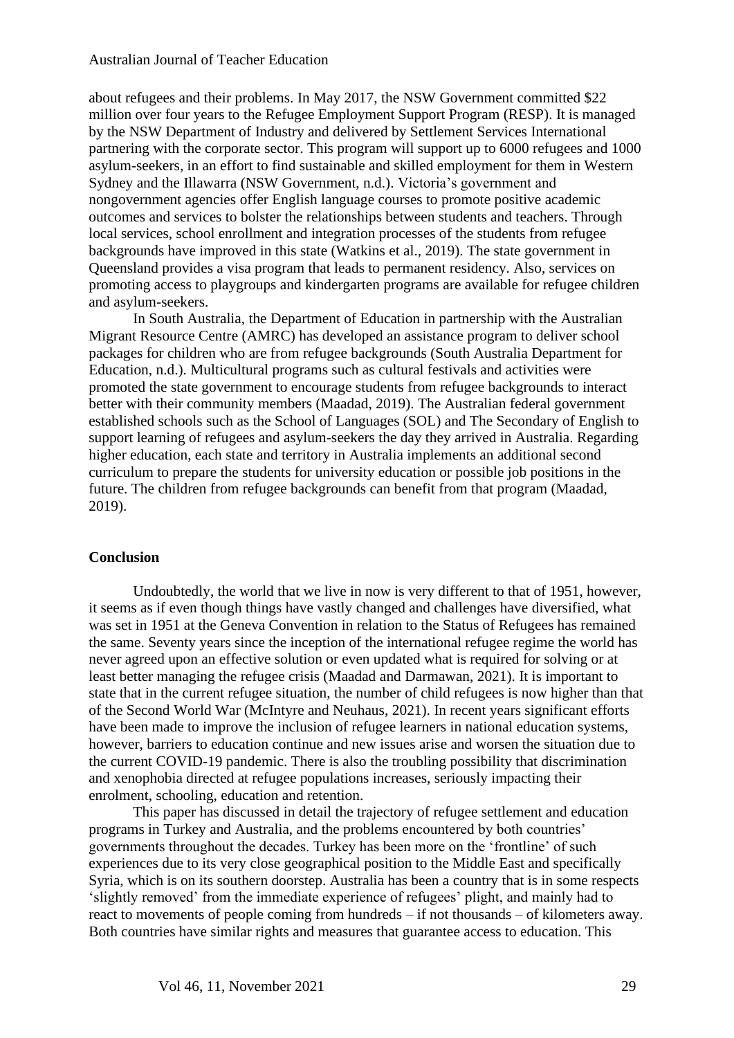about refugees and their problems. In May 2017, the NSW Government committed \$22 million over four years to the Refugee Employment Support Program (RESP). It is managed by the NSW Department of Industry and delivered by Settlement Services International partnering with the corporate sector. This program will support up to 6000 refugees and 1000 asylum-seekers, in an effort to find sustainable and skilled employment for them in Western Sydney and the Illawarra (NSW Government, n.d.). Victoria's government and nongovernment agencies offer English language courses to promote positive academic outcomes and services to bolster the relationships between students and teachers. Through local services, school enrollment and integration processes of the students from refugee backgrounds have improved in this state (Watkins et al., 2019). The state government in Queensland provides a visa program that leads to permanent residency. Also, services on promoting access to playgroups and kindergarten programs are available for refugee children and asylum-seekers.

In South Australia, the Department of Education in partnership with the Australian Migrant Resource Centre (AMRC) has developed an assistance program to deliver school packages for children who are from refugee backgrounds (South Australia Department for Education, n.d.). Multicultural programs such as cultural festivals and activities were promoted the state government to encourage students from refugee backgrounds to interact better with their community members (Maadad, 2019). The Australian federal government established schools such as the School of Languages (SOL) and The Secondary of English to support learning of refugees and asylum-seekers the day they arrived in Australia. Regarding higher education, each state and territory in Australia implements an additional second curriculum to prepare the students for university education or possible job positions in the future. The children from refugee backgrounds can benefit from that program (Maadad, 2019).

#### **Conclusion**

Undoubtedly, the world that we live in now is very different to that of 1951, however, it seems as if even though things have vastly changed and challenges have diversified, what was set in 1951 at the Geneva Convention in relation to the Status of Refugees has remained the same. Seventy years since the inception of the international refugee regime the world has never agreed upon an effective solution or even updated what is required for solving or at least better managing the refugee crisis (Maadad and Darmawan, 2021). It is important to state that in the current refugee situation, the number of child refugees is now higher than that of the Second World War (McIntyre and Neuhaus, 2021). In recent years significant efforts have been made to improve the inclusion of refugee learners in national education systems, however, barriers to education continue and new issues arise and worsen the situation due to the current COVID-19 pandemic. There is also the troubling possibility that discrimination and xenophobia directed at refugee populations increases, seriously impacting their enrolment, schooling, education and retention.

This paper has discussed in detail the trajectory of refugee settlement and education programs in Turkey and Australia, and the problems encountered by both countries' governments throughout the decades. Turkey has been more on the 'frontline' of such experiences due to its very close geographical position to the Middle East and specifically Syria, which is on its southern doorstep. Australia has been a country that is in some respects 'slightly removed' from the immediate experience of refugees' plight, and mainly had to react to movements of people coming from hundreds – if not thousands – of kilometers away. Both countries have similar rights and measures that guarantee access to education. This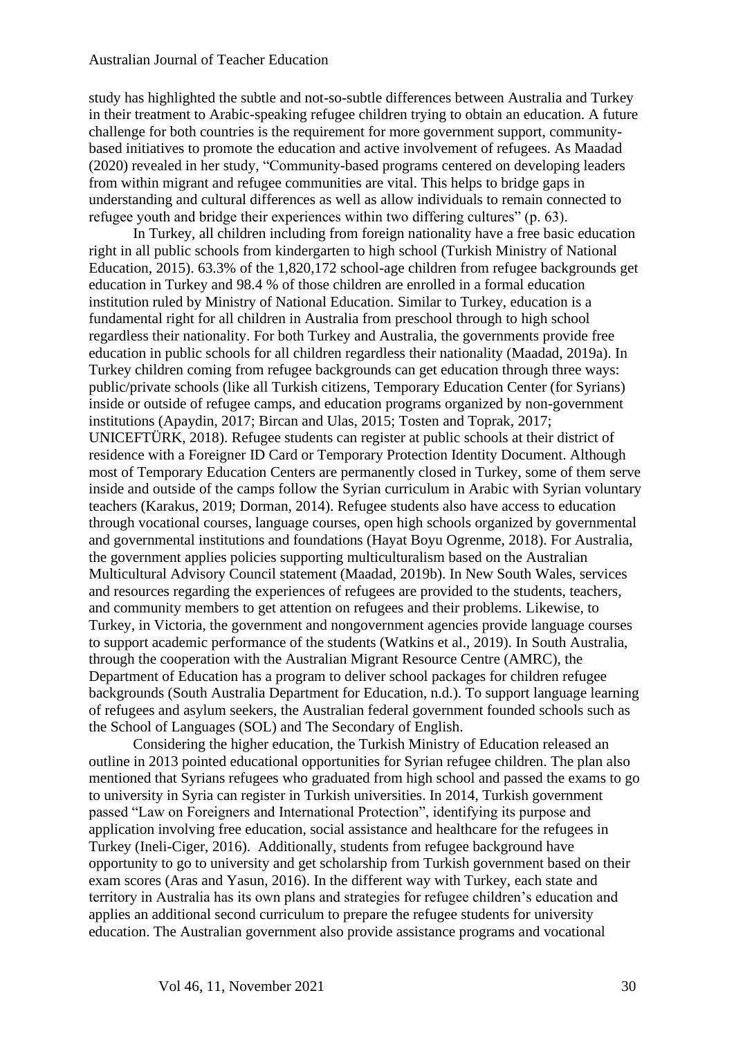study has highlighted the subtle and not-so-subtle differences between Australia and Turkey in their treatment to Arabic-speaking refugee children trying to obtain an education. A future challenge for both countries is the requirement for more government support, communitybased initiatives to promote the education and active involvement of refugees. As Maadad (2020) revealed in her study, "Community-based programs centered on developing leaders from within migrant and refugee communities are vital. This helps to bridge gaps in understanding and cultural differences as well as allow individuals to remain connected to refugee youth and bridge their experiences within two differing cultures" (p. 63).

In Turkey, all children including from foreign nationality have a free basic education right in all public schools from kindergarten to high school (Turkish Ministry of National Education, 2015). 63.3% of the 1,820,172 school-age children from refugee backgrounds get education in Turkey and 98.4 % of those children are enrolled in a formal education institution ruled by Ministry of National Education. Similar to Turkey, education is a fundamental right for all children in Australia from preschool through to high school regardless their nationality. For both Turkey and Australia, the governments provide free education in public schools for all children regardless their nationality (Maadad, 2019a). In Turkey children coming from refugee backgrounds can get education through three ways: public/private schools (like all Turkish citizens, Temporary Education Center (for Syrians) inside or outside of refugee camps, and education programs organized by non-government institutions (Apaydin, 2017; Bircan and Ulas, 2015; Tosten and Toprak, 2017; UNICEFTÜRK, 2018). Refugee students can register at public schools at their district of residence with a Foreigner ID Card or Temporary Protection Identity Document. Although most of Temporary Education Centers are permanently closed in Turkey, some of them serve inside and outside of the camps follow the Syrian curriculum in Arabic with Syrian voluntary teachers (Karakus, 2019; Dorman, 2014). Refugee students also have access to education through vocational courses, language courses, open high schools organized by governmental and governmental institutions and foundations (Hayat Boyu Ogrenme, 2018). For Australia, the government applies policies supporting multiculturalism based on the Australian Multicultural Advisory Council statement (Maadad, 2019b). In New South Wales, services and resources regarding the experiences of refugees are provided to the students, teachers, and community members to get attention on refugees and their problems. Likewise, to Turkey, in Victoria, the government and nongovernment agencies provide language courses to support academic performance of the students (Watkins et al., 2019). In South Australia, through the cooperation with the Australian Migrant Resource Centre (AMRC), the Department of Education has a program to deliver school packages for children refugee backgrounds (South Australia Department for Education, n.d.). To support language learning of refugees and asylum seekers, the Australian federal government founded schools such as the School of Languages (SOL) and The Secondary of English.

Considering the higher education, the Turkish Ministry of Education released an outline in 2013 pointed educational opportunities for Syrian refugee children. The plan also mentioned that Syrians refugees who graduated from high school and passed the exams to go to university in Syria can register in Turkish universities. In 2014, Turkish government passed "Law on Foreigners and International Protection", identifying its purpose and application involving free education, social assistance and healthcare for the refugees in Turkey (Ineli-Ciger, 2016). Additionally, students from refugee background have opportunity to go to university and get scholarship from Turkish government based on their exam scores (Aras and Yasun, 2016). In the different way with Turkey, each state and territory in Australia has its own plans and strategies for refugee children's education and applies an additional second curriculum to prepare the refugee students for university education. The Australian government also provide assistance programs and vocational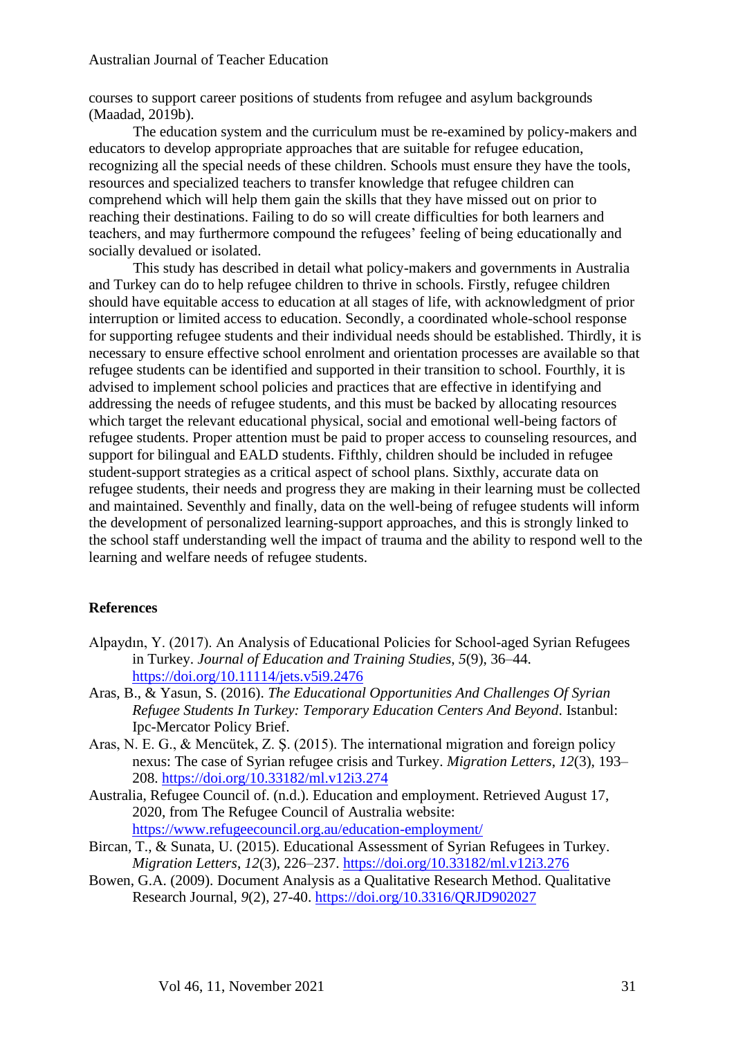courses to support career positions of students from refugee and asylum backgrounds (Maadad, 2019b).

The education system and the curriculum must be re-examined by policy-makers and educators to develop appropriate approaches that are suitable for refugee education, recognizing all the special needs of these children. Schools must ensure they have the tools, resources and specialized teachers to transfer knowledge that refugee children can comprehend which will help them gain the skills that they have missed out on prior to reaching their destinations. Failing to do so will create difficulties for both learners and teachers, and may furthermore compound the refugees' feeling of being educationally and socially devalued or isolated.

This study has described in detail what policy-makers and governments in Australia and Turkey can do to help refugee children to thrive in schools. Firstly, refugee children should have equitable access to education at all stages of life, with acknowledgment of prior interruption or limited access to education. Secondly, a coordinated whole-school response for supporting refugee students and their individual needs should be established. Thirdly, it is necessary to ensure effective school enrolment and orientation processes are available so that refugee students can be identified and supported in their transition to school. Fourthly, it is advised to implement school policies and practices that are effective in identifying and addressing the needs of refugee students, and this must be backed by allocating resources which target the relevant educational physical, social and emotional well-being factors of refugee students. Proper attention must be paid to proper access to counseling resources, and support for bilingual and EALD students. Fifthly, children should be included in refugee student-support strategies as a critical aspect of school plans. Sixthly, accurate data on refugee students, their needs and progress they are making in their learning must be collected and maintained. Seventhly and finally, data on the well-being of refugee students will inform the development of personalized learning-support approaches, and this is strongly linked to the school staff understanding well the impact of trauma and the ability to respond well to the learning and welfare needs of refugee students.

#### **References**

- Alpaydın, Y. (2017). An Analysis of Educational Policies for School-aged Syrian Refugees in Turkey. *Journal of Education and Training Studies*, *5*(9), 36–44. <https://doi.org/10.11114/jets.v5i9.2476>
- Aras, B., & Yasun, S. (2016). *The Educational Opportunities And Challenges Of Syrian Refugee Students In Turkey: Temporary Education Centers And Beyond*. Istanbul: Ipc-Mercator Policy Brief.
- Aras, N. E. G., & Mencütek, Z. Ş. (2015). The international migration and foreign policy nexus: The case of Syrian refugee crisis and Turkey. *Migration Letters*, *12*(3), 193– 208.<https://doi.org/10.33182/ml.v12i3.274>
- Australia, Refugee Council of. (n.d.). Education and employment. Retrieved August 17, 2020, from The Refugee Council of Australia website: <https://www.refugeecouncil.org.au/education-employment/>
- Bircan, T., & Sunata, U. (2015). Educational Assessment of Syrian Refugees in Turkey. *Migration Letters*, *12*(3), 226–237.<https://doi.org/10.33182/ml.v12i3.276>
- Bowen, G.A. (2009). Document Analysis as a Qualitative Research Method. Qualitative Research Journal, *9*(2), 27-40.<https://doi.org/10.3316/QRJD902027>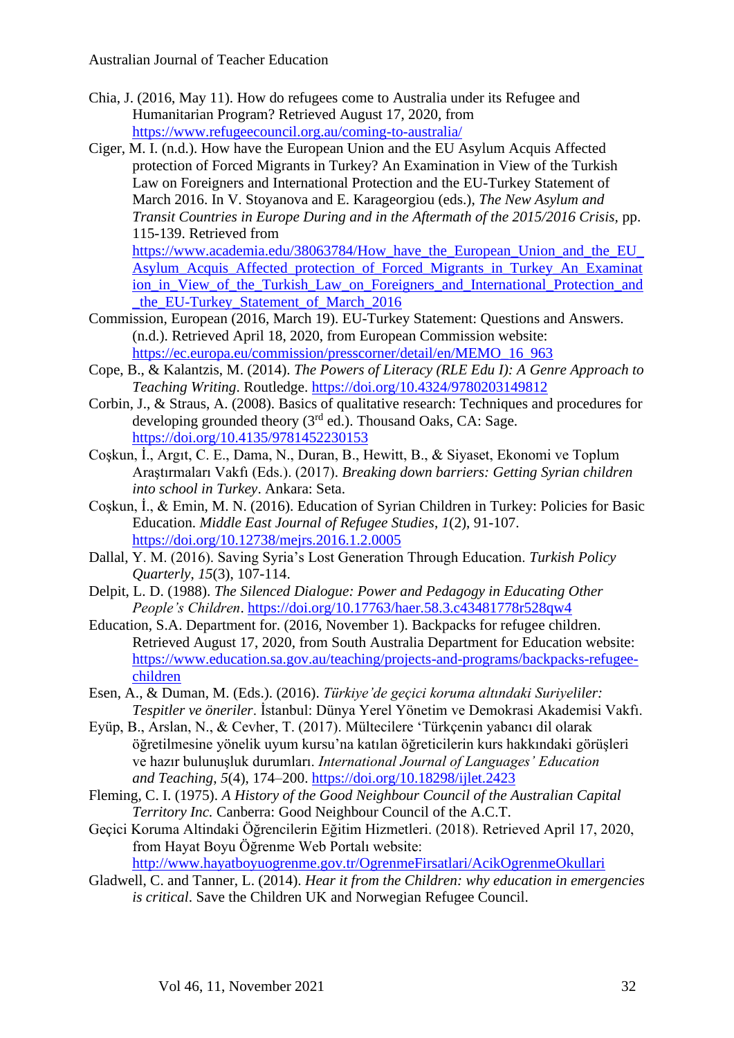- Chia, J. (2016, May 11). How do refugees come to Australia under its Refugee and Humanitarian Program? Retrieved August 17, 2020, from <https://www.refugeecouncil.org.au/coming-to-australia/>
- Ciger, M. I. (n.d.). How have the European Union and the EU Asylum Acquis Affected protection of Forced Migrants in Turkey? An Examination in View of the Turkish Law on Foreigners and International Protection and the EU-Turkey Statement of March 2016. In V. Stoyanova and E. Karageorgiou (eds.), *The New Asylum and Transit Countries in Europe During and in the Aftermath of the 2015/2016 Crisis,* pp. 115-139. Retrieved from

https://www.academia.edu/38063784/How\_have\_the\_European\_Union\_and\_the\_EU [Asylum\\_Acquis\\_Affected\\_protection\\_of\\_Forced\\_Migrants\\_in\\_Turkey\\_An\\_Examinat](https://www.academia.edu/38063784/How_have_the_European_Union_and_the_EU_Asylum_Acquis_Affected_protection_of_Forced_Migrants_in_Turkey_An_Examination_in_View_of_the_Turkish_Law_on_Foreigners_and_International_Protection_and_the_EU-Turkey_Statement_of_March_2016) ion in View of the Turkish Law on Foreigners and International Protection and [\\_the\\_EU-Turkey\\_Statement\\_of\\_March\\_2016](https://www.academia.edu/38063784/How_have_the_European_Union_and_the_EU_Asylum_Acquis_Affected_protection_of_Forced_Migrants_in_Turkey_An_Examination_in_View_of_the_Turkish_Law_on_Foreigners_and_International_Protection_and_the_EU-Turkey_Statement_of_March_2016)

- Commission, European (2016, March 19). EU-Turkey Statement: Questions and Answers. (n.d.). Retrieved April 18, 2020, from European Commission website: [https://ec.europa.eu/commission/presscorner/detail/en/MEMO\\_16\\_963](https://ec.europa.eu/commission/presscorner/detail/en/MEMO_16_963)
- Cope, B., & Kalantzis, M. (2014). *The Powers of Literacy (RLE Edu I): A Genre Approach to Teaching Writing*. Routledge.<https://doi.org/10.4324/9780203149812>
- Corbin, J., & Straus, A. (2008). Basics of qualitative research: Techniques and procedures for developing grounded theory  $(3<sup>rd</sup>$  ed.). Thousand Oaks, CA: Sage. <https://doi.org/10.4135/9781452230153>
- Coşkun, İ., Argıt, C. E., Dama, N., Duran, B., Hewitt, B., & Siyaset, Ekonomi ve Toplum Araştırmaları Vakfı (Eds.). (2017). *Breaking down barriers: Getting Syrian children into school in Turkey*. Ankara: Seta.
- Coşkun, İ., & Emin, M. N. (2016). Education of Syrian Children in Turkey: Policies for Basic Education. *Middle East Journal of Refugee Studies*, *1*(2), 91-107. <https://doi.org/10.12738/mejrs.2016.1.2.0005>
- Dallal, Y. M. (2016). Saving Syria's Lost Generation Through Education. *Turkish Policy Quarterly*, *15*(3), 107-114.
- Delpit, L. D. (1988). *The Silenced Dialogue: Power and Pedagogy in Educating Other People's Children*.<https://doi.org/10.17763/haer.58.3.c43481778r528qw4>
- Education, S.A. Department for. (2016, November 1). Backpacks for refugee children. Retrieved August 17, 2020, from South Australia Department for Education website: [https://www.education.sa.gov.au/teaching/projects-and-programs/backpacks-refugee](https://www.education.sa.gov.au/teaching/projects-and-programs/backpacks-refugee-children)[children](https://www.education.sa.gov.au/teaching/projects-and-programs/backpacks-refugee-children)
- Esen, A., & Duman, M. (Eds.). (2016). *Türkiye'de geçici koruma altındaki Suriyeliler: Tespitler ve öneriler*. İstanbul: Dünya Yerel Yönetim ve Demokrasi Akademisi Vakfı.
- Eyüp, B., Arslan, N., & Cevher, T. (2017). Mültecilere 'Türkçenin yabancı dil olarak öğretilmesine yönelik uyum kursu'na katılan öğreticilerin kurs hakkındaki görüşleri ve hazır bulunuşluk durumları. *International Journal of Languages' Education and Teaching*, *5*(4), 174–200. <https://doi.org/10.18298/ijlet.2423>
- Fleming, C. I. (1975). *A History of the Good Neighbour Council of the Australian Capital Territory Inc.* Canberra: Good Neighbour Council of the A.C.T.
- Geçici Koruma Altindaki Öğrencilerin Eğitim Hizmetleri. (2018). Retrieved April 17, 2020, from Hayat Boyu Öğrenme Web Portalı website:

<http://www.hayatboyuogrenme.gov.tr/OgrenmeFirsatlari/AcikOgrenmeOkullari>

Gladwell, C. and Tanner, L. (2014). *Hear it from the Children: why education in emergencies is critical*. Save the Children UK and Norwegian Refugee Council.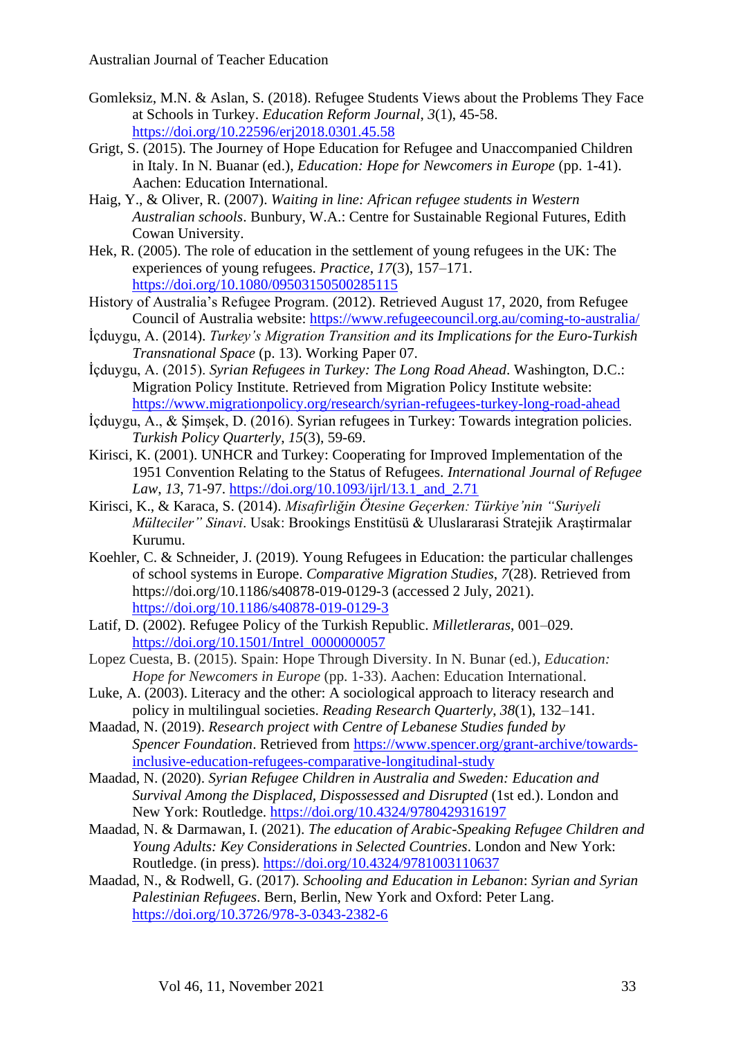- Gomleksiz, M.N. & Aslan, S. (2018). Refugee Students Views about the Problems They Face at Schools in Turkey. *Education Reform Journal*, *3*(1), 45-58. <https://doi.org/10.22596/erj2018.0301.45.58>
- Grigt, S. (2015). The Journey of Hope Education for Refugee and Unaccompanied Children in Italy. In N. Buanar (ed.), *Education: Hope for Newcomers in Europe* (pp. 1-41). Aachen: Education International.
- Haig, Y., & Oliver, R. (2007). *Waiting in line: African refugee students in Western Australian schools*. Bunbury, W.A.: Centre for Sustainable Regional Futures, Edith Cowan University.
- Hek, R. (2005). The role of education in the settlement of young refugees in the UK: The experiences of young refugees. *Practice*, *17*(3), 157–171. <https://doi.org/10.1080/09503150500285115>
- History of Australia's Refugee Program. (2012). Retrieved August 17, 2020, from Refugee Council of Australia website:<https://www.refugeecouncil.org.au/coming-to-australia/>
- İçduygu, A. (2014). *Turkey's Migration Transition and its Implications for the Euro-Turkish Transnational Space* (p. 13). Working Paper 07.
- İçduygu, A. (2015). *Syrian Refugees in Turkey: The Long Road Ahead*. Washington, D.C.: Migration Policy Institute. Retrieved from Migration Policy Institute website: <https://www.migrationpolicy.org/research/syrian-refugees-turkey-long-road-ahead>
- İçduygu, A., & Şimşek, D. (2016). Syrian refugees in Turkey: Towards integration policies. *Turkish Policy Quarterly*, *15*(3), 59-69.
- Kirisci, K. (2001). UNHCR and Turkey: Cooperating for Improved Implementation of the 1951 Convention Relating to the Status of Refugees. *International Journal of Refugee Law*, *13*, 71-97. [https://doi.org/10.1093/ijrl/13.1\\_and\\_2.71](https://doi.org/10.1093/ijrl/13.1_and_2.71)
- Kirisci, K., & Karaca, S. (2014). *Misafirliğin Ötesine Geçerken: Türkiye'nin "Suriyeli Mülteciler" Sinavi*. Usak: Brookings Enstitüsü & Uluslararasi Stratejik Araştirmalar Kurumu.
- Koehler, C. & Schneider, J. (2019). Young Refugees in Education: the particular challenges of school systems in Europe. *Comparative Migration Studies*, *7*(28). Retrieved from <https://doi.org/10.1186/s40878-019-0129-3> (accessed 2 July, 2021). <https://doi.org/10.1186/s40878-019-0129-3>
- Latı̇f, D. (2002). Refugee Policy of the Turkish Republic. *Milletleraras*, 001–029. [https://doi.org/10.1501/Intrel\\_0000000057](https://doi.org/10.1501/Intrel_0000000057)
- Lopez Cuesta, B. (2015). Spain: Hope Through Diversity. In N. Bunar (ed.), *Education: Hope for Newcomers in Europe* (pp. 1-33). Aachen: Education International.
- Luke, A. (2003). Literacy and the other: A sociological approach to literacy research and policy in multilingual societies. *Reading Research Quarterly*, *38*(1), 132–141.
- Maadad, N. (2019). *Research project with Centre of Lebanese Studies funded by Spencer Foundation*. Retrieved from [https://www.spencer.org/grant-archive/towards](https://www.spencer.org/grant-archive/towards-inclusive-education-refugees-comparative-longitudinal-study)[inclusive-education-refugees-comparative-longitudinal-study](https://www.spencer.org/grant-archive/towards-inclusive-education-refugees-comparative-longitudinal-study)
- Maadad, N. (2020). *Syrian Refugee Children in Australia and Sweden: Education and Survival Among the Displaced, Dispossessed and Disrupted* (1st ed.). London and New York: Routledge.<https://doi.org/10.4324/9780429316197>
- Maadad, N. & Darmawan, I. (2021). *The education of Arabic-Speaking Refugee Children and Young Adults: Key Considerations in Selected Countries*. London and New York: Routledge. (in press). <https://doi.org/10.4324/9781003110637>
- Maadad, N., & Rodwell, G. (2017). *Schooling and Education in Lebanon*: *Syrian and Syrian Palestinian Refugees*. Bern, Berlin, New York and Oxford: Peter Lang. <https://doi.org/10.3726/978-3-0343-2382-6>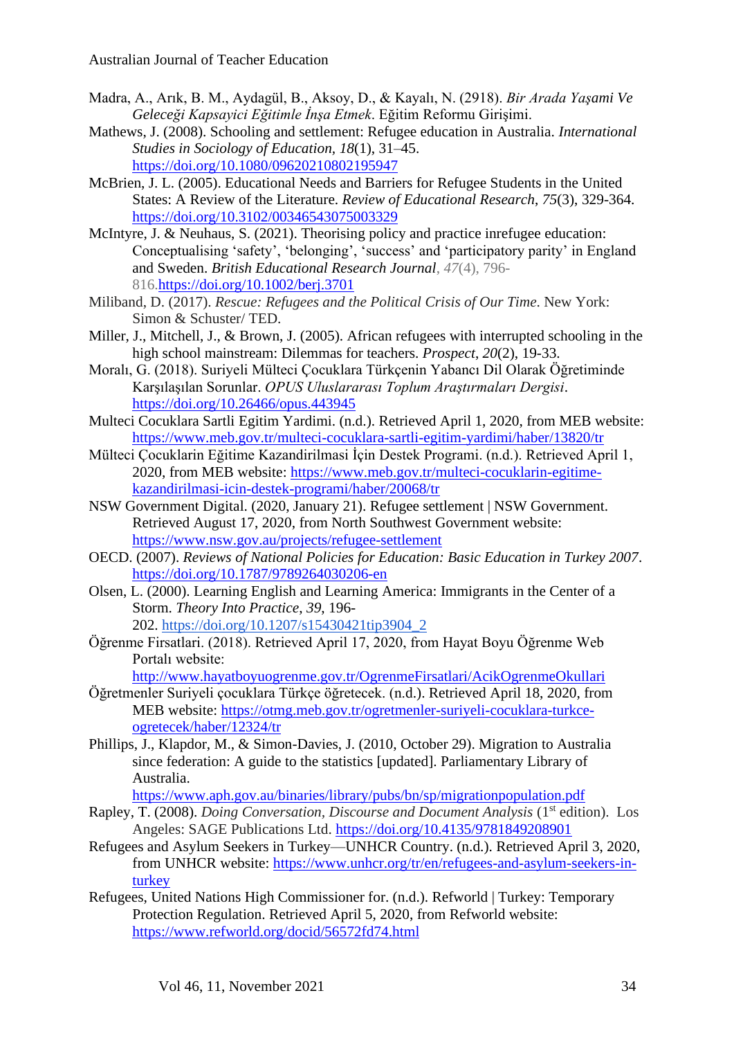- Madra, A., Arık, B. M., Aydagül, B., Aksoy, D., & Kayalı, N. (2918). *Bir Arada Yaşami Ve Geleceği Kapsayici Eğitimle İnşa Etmek*. Eğitim Reformu Girişimi.
- Mathews, J. (2008). Schooling and settlement: Refugee education in Australia. *International Studies in Sociology of Education, 18*(1), 31–45. <https://doi.org/10.1080/09620210802195947>
- McBrien, J. L. (2005). Educational Needs and Barriers for Refugee Students in the United States: A Review of the Literature. *Review of Educational Research*, *75*(3), 329-364. <https://doi.org/10.3102/00346543075003329>
- McIntyre, J. & Neuhaus, S. (2021). Theorising policy and practice inrefugee education: Conceptualising 'safety', 'belonging', 'success' and 'participatory parity' in England and Sweden. *British Educational Research Journal*, *47*(4), 796- 816[.https://doi.org/10.1002/berj.3701](https://doi.org/10.1002/berj.3701)
- Miliband, D. (2017). *Rescue: Refugees and the Political Crisis of Our Time*. New York: Simon & Schuster/ TED.
- Miller, J., Mitchell, J., & Brown, J. (2005). African refugees with interrupted schooling in the high school mainstream: Dilemmas for teachers. *Prospect*, *20*(2), 19-33.
- Moralı, G. (2018). Suriyeli Mülteci Çocuklara Türkçenin Yabancı Dil Olarak Öğretiminde Karşılaşılan Sorunlar. *OPUS Uluslararası Toplum Araştırmaları Dergisi*. <https://doi.org/10.26466/opus.443945>
- Multeci Cocuklara Sartli Egitim Yardimi. (n.d.). Retrieved April 1, 2020, from MEB website: <https://www.meb.gov.tr/multeci-cocuklara-sartli-egitim-yardimi/haber/13820/tr>
- Mülteci Çocuklarin Eğitime Kazandirilmasi İçin Destek Programi. (n.d.). Retrieved April 1, 2020, from MEB website: [https://www.meb.gov.tr/multeci-cocuklarin-egitime](https://www.meb.gov.tr/multeci-cocuklarin-egitime-kazandirilmasi-icin-destek-programi/haber/20068/tr)[kazandirilmasi-icin-destek-programi/haber/20068/tr](https://www.meb.gov.tr/multeci-cocuklarin-egitime-kazandirilmasi-icin-destek-programi/haber/20068/tr)
- NSW Government Digital. (2020, January 21). Refugee settlement | NSW Government. Retrieved August 17, 2020, from North Southwest Government website: <https://www.nsw.gov.au/projects/refugee-settlement>
- OECD. (2007). *Reviews of National Policies for Education: Basic Education in Turkey 2007*. <https://doi.org/10.1787/9789264030206-en>
- Olsen, L. (2000). Learning English and Learning America: Immigrants in the Center of a Storm. *Theory Into Practice*, *39*, 196- 202. [https://doi.org/10.1207/s15430421tip3904\\_2](https://doi.org/10.1207/s15430421tip3904_2)
- Öğrenme Firsatlari. (2018). Retrieved April 17, 2020, from Hayat Boyu Öğrenme Web Portalı website:

<http://www.hayatboyuogrenme.gov.tr/OgrenmeFirsatlari/AcikOgrenmeOkullari>

Öğretmenler Suriyeli çocuklara Türkçe öğretecek. (n.d.). Retrieved April 18, 2020, from MEB website: [https://otmg.meb.gov.tr/ogretmenler-suriyeli-cocuklara-turkce](https://otmg.meb.gov.tr/ogretmenler-suriyeli-cocuklara-turkce-ogretecek/haber/12324/tr)[ogretecek/haber/12324/tr](https://otmg.meb.gov.tr/ogretmenler-suriyeli-cocuklara-turkce-ogretecek/haber/12324/tr)

Phillips, J., Klapdor, M., & Simon-Davies, J. (2010, October 29). Migration to Australia since federation: A guide to the statistics [updated]. Parliamentary Library of Australia.

<https://www.aph.gov.au/binaries/library/pubs/bn/sp/migrationpopulation.pdf>

- Rapley, T. (2008). *Doing Conversation, Discourse and Document Analysis* (1<sup>st</sup> edition). Los Angeles: SAGE Publications Ltd. <https://doi.org/10.4135/9781849208901>
- Refugees and Asylum Seekers in Turkey—UNHCR Country. (n.d.). Retrieved April 3, 2020, from UNHCR website: [https://www.unhcr.org/tr/en/refugees-and-asylum-seekers-in](https://www.unhcr.org/tr/en/refugees-and-asylum-seekers-in-turkey)[turkey](https://www.unhcr.org/tr/en/refugees-and-asylum-seekers-in-turkey)
- Refugees, United Nations High Commissioner for. (n.d.). Refworld | Turkey: Temporary Protection Regulation. Retrieved April 5, 2020, from Refworld website: <https://www.refworld.org/docid/56572fd74.html>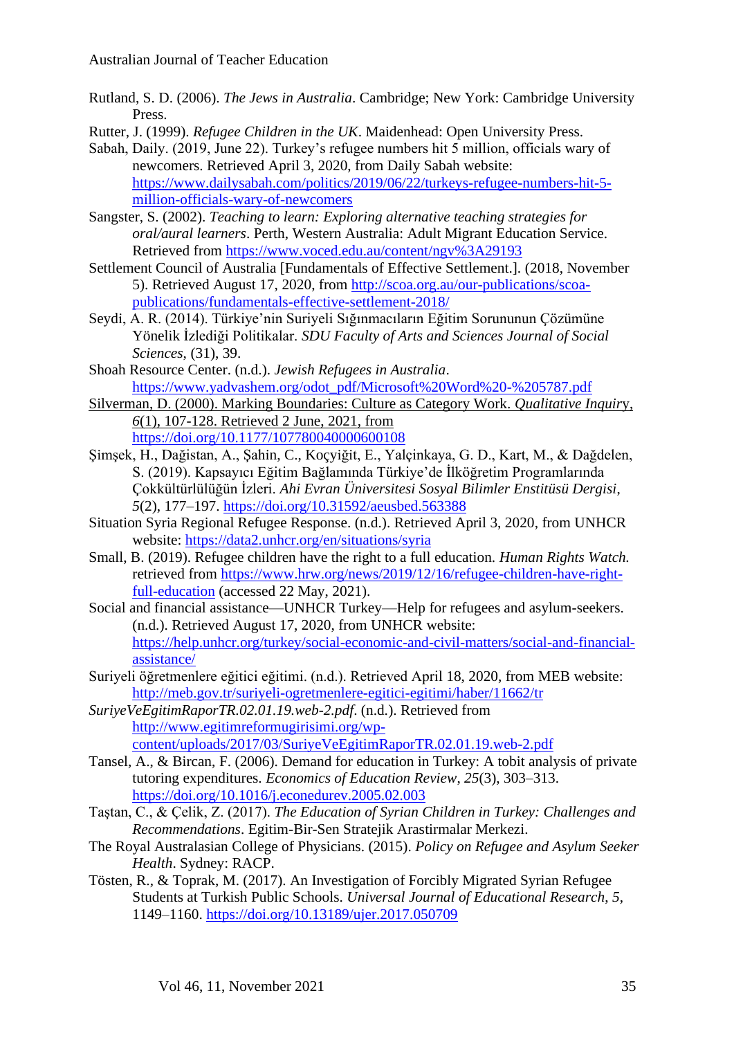- Rutland, S. D. (2006). *The Jews in Australia*. Cambridge; New York: Cambridge University Press.
- Rutter, J. (1999). *Refugee Children in the UK*. Maidenhead: Open University Press.
- Sabah, Daily. (2019, June 22). Turkey's refugee numbers hit 5 million, officials wary of newcomers. Retrieved April 3, 2020, from Daily Sabah website: [https://www.dailysabah.com/politics/2019/06/22/turkeys-refugee-numbers-hit-5](https://www.dailysabah.com/politics/2019/06/22/turkeys-refugee-numbers-hit-5-million-officials-wary-of-newcomers) [million-officials-wary-of-newcomers](https://www.dailysabah.com/politics/2019/06/22/turkeys-refugee-numbers-hit-5-million-officials-wary-of-newcomers)
- Sangster, S. (2002). *Teaching to learn: Exploring alternative teaching strategies for oral/aural learners*. Perth, Western Australia: Adult Migrant Education Service. Retrieved from<https://www.voced.edu.au/content/ngv%3A29193>
- Settlement Council of Australia [Fundamentals of Effective Settlement.]. (2018, November 5). Retrieved August 17, 2020, from [http://scoa.org.au/our-publications/scoa](http://scoa.org.au/our-publications/scoa-publications/fundamentals-effective-settlement-2018/)[publications/fundamentals-effective-settlement-2018/](http://scoa.org.au/our-publications/scoa-publications/fundamentals-effective-settlement-2018/)
- Seydı̇, A. R. (2014). Türkiye'nin Suriyeli Sığınmacıların Eğitim Sorununun Çözümüne Yönelik İzlediği Politikalar. *SDU Faculty of Arts and Sciences Journal of Social Sciences*, (31), 39.
- Shoah Resource Center. (n.d.). *Jewish Refugees in Australia*. [https://www.yadvashem.org/odot\\_pdf/Microsoft%20Word%20-%205787.pdf](https://www.yadvashem.org/odot_pdf/Microsoft%20Word%20-%205787.pdf)
- Silverman, D. (2000). Marking Boundaries: Culture as Category Work. *Qualitative Inquir*y, *6*(1), 107-128. Retrieved 2 June, 2021, from <https://doi.org/10.1177/107780040000600108>
- Şı̇mşek, H., Dağistan, A., Şahı̇n, C., Koçyı̇ğı̇t, E., Yalçinkaya, G. D., Kart, M., & Dağdelen, S. (2019). Kapsayıcı Eğitim Bağlamında Türkiye'de İlköğretim Programlarında Çokkültürlülüğün İzleri. *Ahi Evran Üniversitesi Sosyal Bilimler Enstitüsü Dergisi*, *5*(2), 177–197.<https://doi.org/10.31592/aeusbed.563388>
- Situation Syria Regional Refugee Response. (n.d.). Retrieved April 3, 2020, from UNHCR website:<https://data2.unhcr.org/en/situations/syria>
- Small, B. (2019). Refugee children have the right to a full education. *Human Rights Watch.* retrieved from [https://www.hrw.org/news/2019/12/16/refugee-children-have-right](https://www.hrw.org/news/2019/12/16/refugee-children-have-right-full-education)[full-education](https://www.hrw.org/news/2019/12/16/refugee-children-have-right-full-education) (accessed 22 May, 2021).
- Social and financial assistance—UNHCR Turkey—Help for refugees and asylum-seekers. (n.d.). Retrieved August 17, 2020, from UNHCR website: [https://help.unhcr.org/turkey/social-economic-and-civil-matters/social-and-financial](https://help.unhcr.org/turkey/social-economic-and-civil-matters/social-and-financial-assistance/)[assistance/](https://help.unhcr.org/turkey/social-economic-and-civil-matters/social-and-financial-assistance/)
- Suriyeli öğretmenlere eğitici eğitimi. (n.d.). Retrieved April 18, 2020, from MEB website: <http://meb.gov.tr/suriyeli-ogretmenlere-egitici-egitimi/haber/11662/tr>
- *SuriyeVeEgitimRaporTR.02.01.19.web-2.pdf*. (n.d.). Retrieved from [http://www.egitimreformugirisimi.org/wp](http://www.egitimreformugirisimi.org/wp-content/uploads/2017/03/SuriyeVeEgitimRaporTR.02.01.19.web-2.pdf)[content/uploads/2017/03/SuriyeVeEgitimRaporTR.02.01.19.web-2.pdf](http://www.egitimreformugirisimi.org/wp-content/uploads/2017/03/SuriyeVeEgitimRaporTR.02.01.19.web-2.pdf)
- Tansel, A., & Bircan, F. (2006). Demand for education in Turkey: A tobit analysis of private tutoring expenditures. *Economics of Education Review*, *25*(3), 303–313. <https://doi.org/10.1016/j.econedurev.2005.02.003>
- Taştan, C., & Çelik, Z. (2017). *The Education of Syrian Children in Turkey: Challenges and Recommendations*. Egitim-Bir-Sen Stratejik Arastirmalar Merkezi.
- The Royal Australasian College of Physicians. (2015). *Policy on Refugee and Asylum Seeker Health*. Sydney: RACP.
- Tösten, R., & Toprak, M. (2017). An Investigation of Forcibly Migrated Syrian Refugee Students at Turkish Public Schools. *Universal Journal of Educational Research*, *5*, 1149–1160.<https://doi.org/10.13189/ujer.2017.050709>